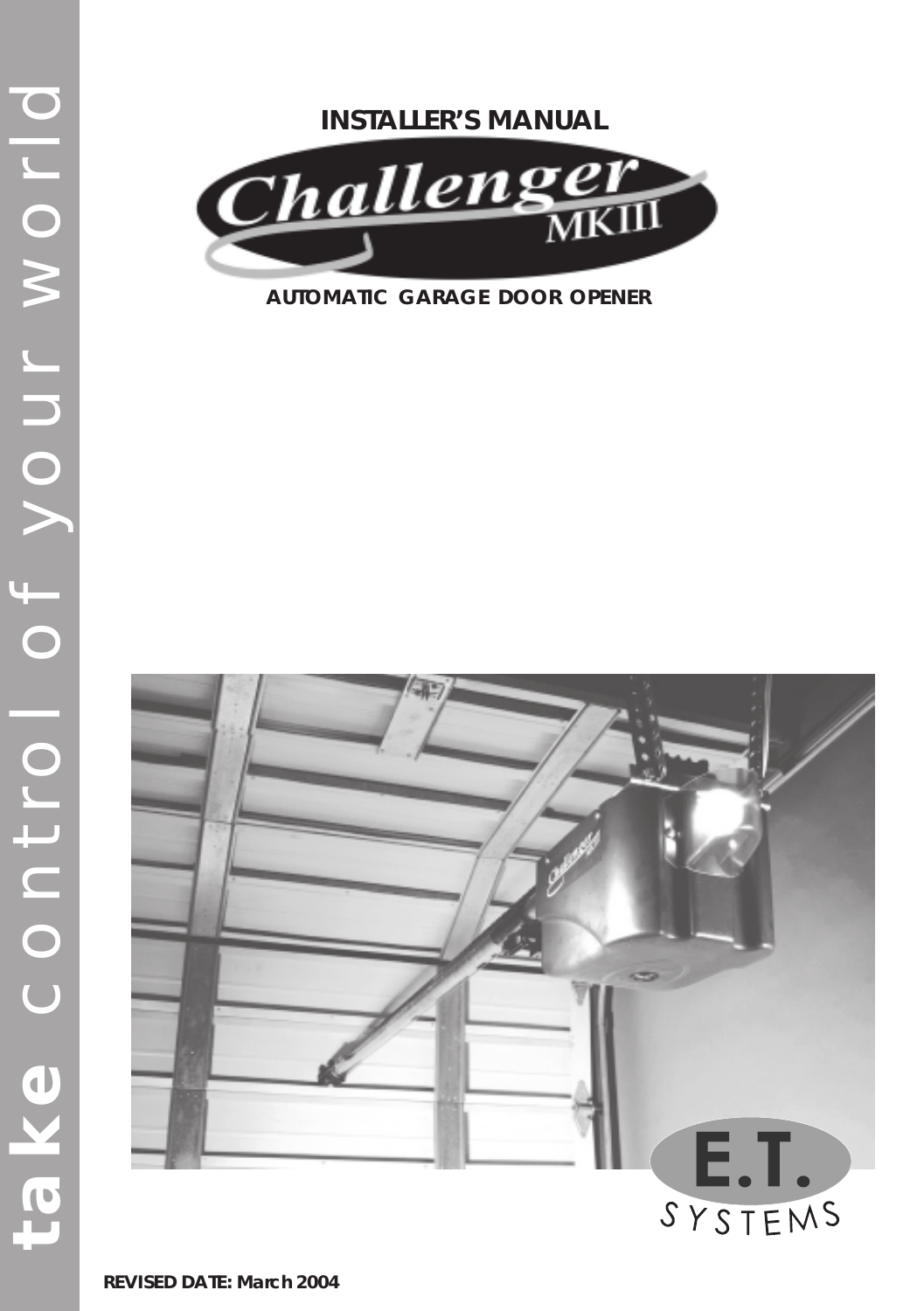## **INSTALLER'S MANUAL**



**AUTOMATIC GARAGE DOOR OPENER**



**REVISED DATE: March 2004**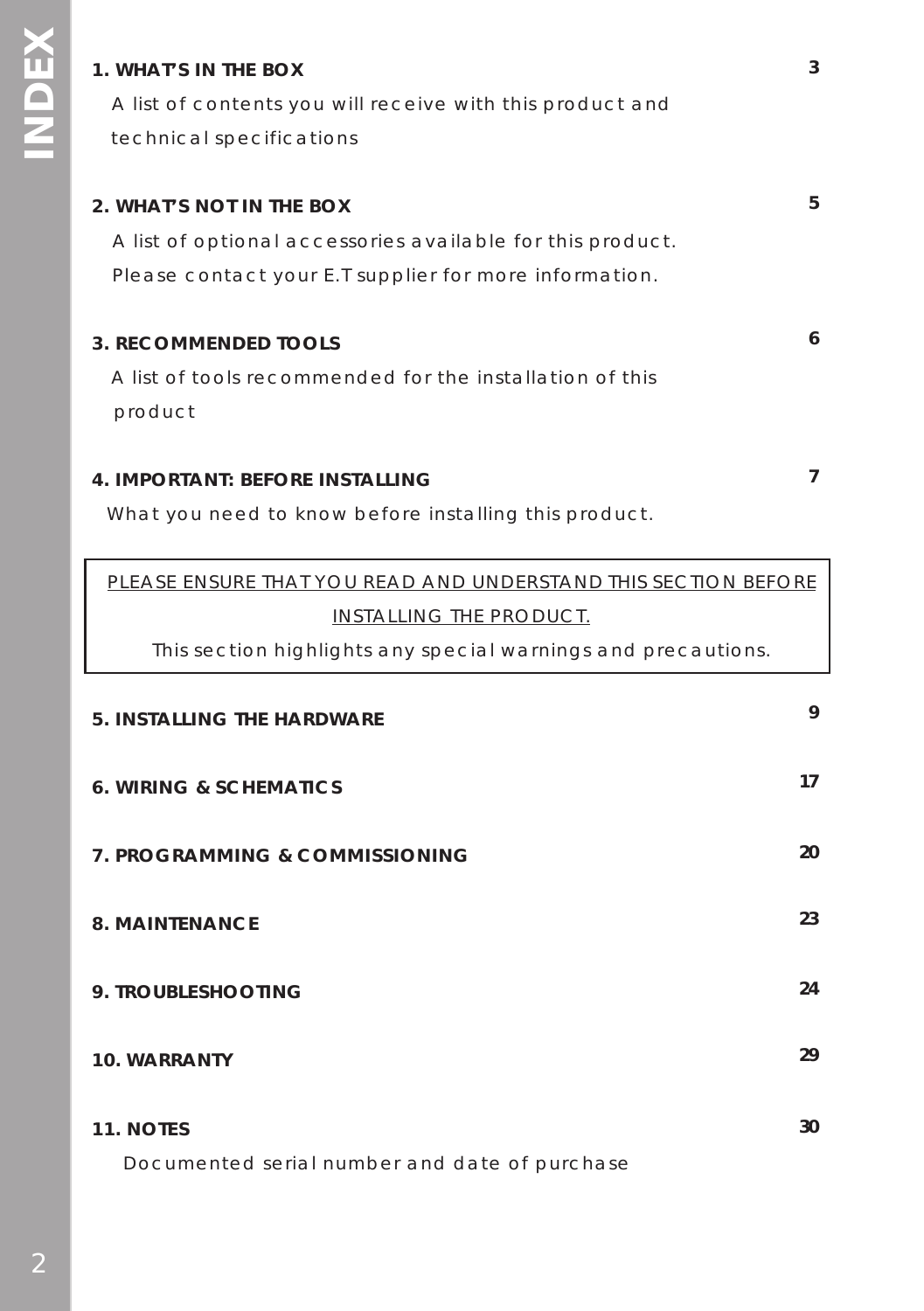### **1. WHAT'S IN THE BOX**

 A list of contents you will receive with this product and technical specifications

## **2. WHAT'S NOT IN THE BOX** A list of optional accessories available for this product. Please contact your E.T supplier for more information. **3. RECOMMENDED TOOLS 6 5**

 A list of tools recommended for the installation of this product

### **4. IMPORTANT: BEFORE INSTALLING**

What you need to know before installing this product.

| PLEASE ENSURE THAT YOU READ AND UNDERSTAND THIS SECTION BEFORE |    |  |
|----------------------------------------------------------------|----|--|
| INSTALLING THE PRODUCT.                                        |    |  |
| This section highlights any special warnings and precautions.  |    |  |
| <b>5. INSTALLING THE HARDWARE</b>                              | 9  |  |
| <b>6. WIRING &amp; SCHEMATICS</b>                              | 17 |  |
| 7. PROGRAMMING & COMMISSIONING                                 | 20 |  |
| 8. MAINTFNANCF                                                 | 23 |  |
| 9. TROUBLESHOOTING                                             | 24 |  |
| 10. WARRANTY                                                   | 29 |  |
| 11. NOTES<br>Documented serial number and date of purchase     | 30 |  |

**7**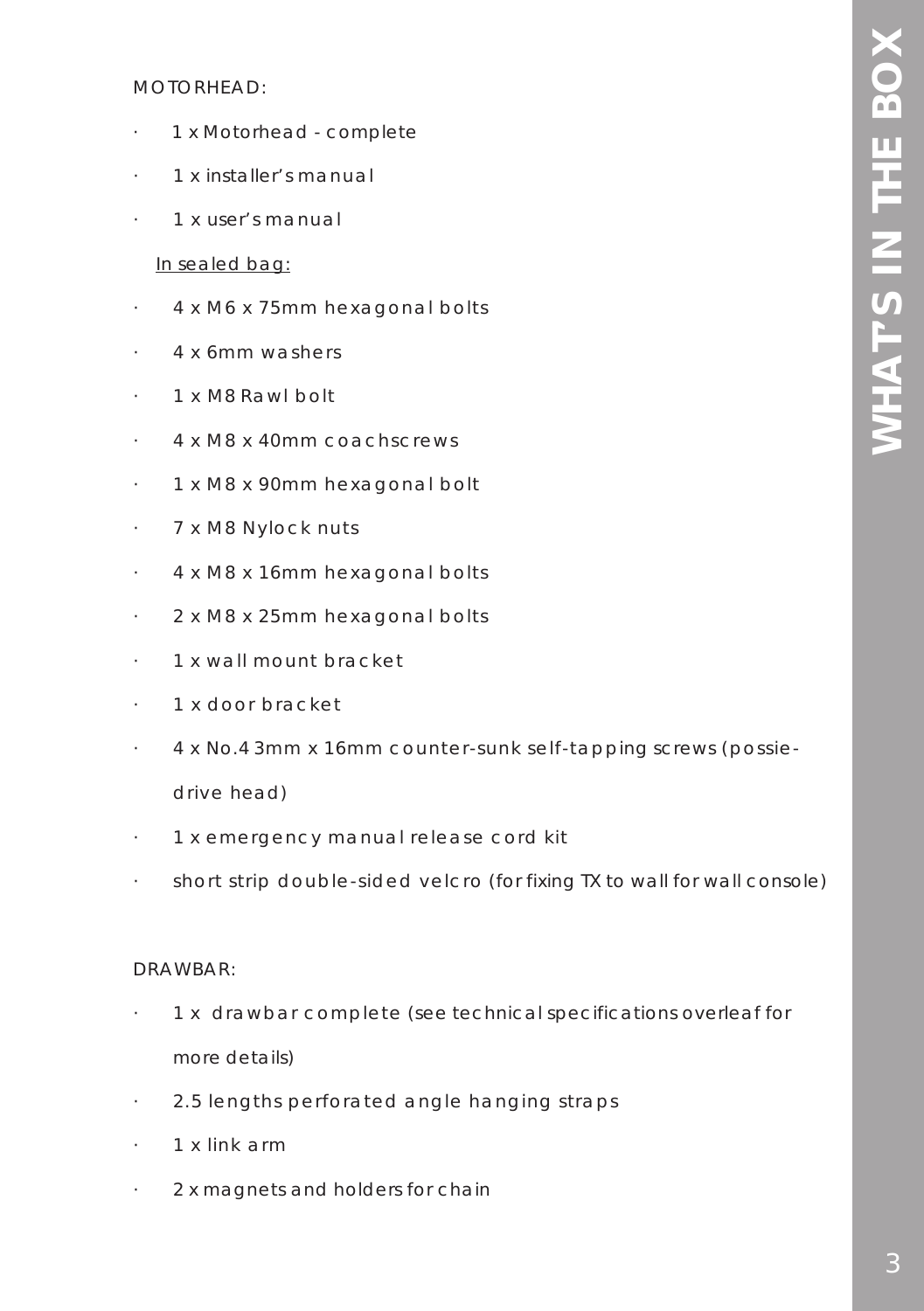### MOTORHEAD:

- · 1 x Motorhead complete
- · 1 x installer's manual
- · 1 x user's manual

### In sealed bag:

- · 4 x M6 x 75mm hexagonal bolts
- · 4 x 6mm washers
- · 1 x M8 Rawl bolt
- · 4 x M8 x 40mm coachscrews
- · 1 x M8 x 90mm hexagonal bolt
- · 7 x M8 Nylock nuts
- · 4 x M8 x 16mm hexagonal bolts
- · 2 x M8 x 25mm hexagonal bolts
- · 1 x wall mount bracket
- · 1 x door bracket
- · 4 x No.4 3mm x 16mm counter-sunk self-tapping screws (possiedrive head)
- · 1 x emergency manual release cord kit
- · short strip double-sided velcro (for fixing TX to wall for wall console)

### DRAWBAR:

- · 1 x drawbar complete (see technical specifications overleaf for more details)
- · 2.5 lengths perforated angle hanging straps
- · 1 x link arm
- 2 x magnets and holders for chain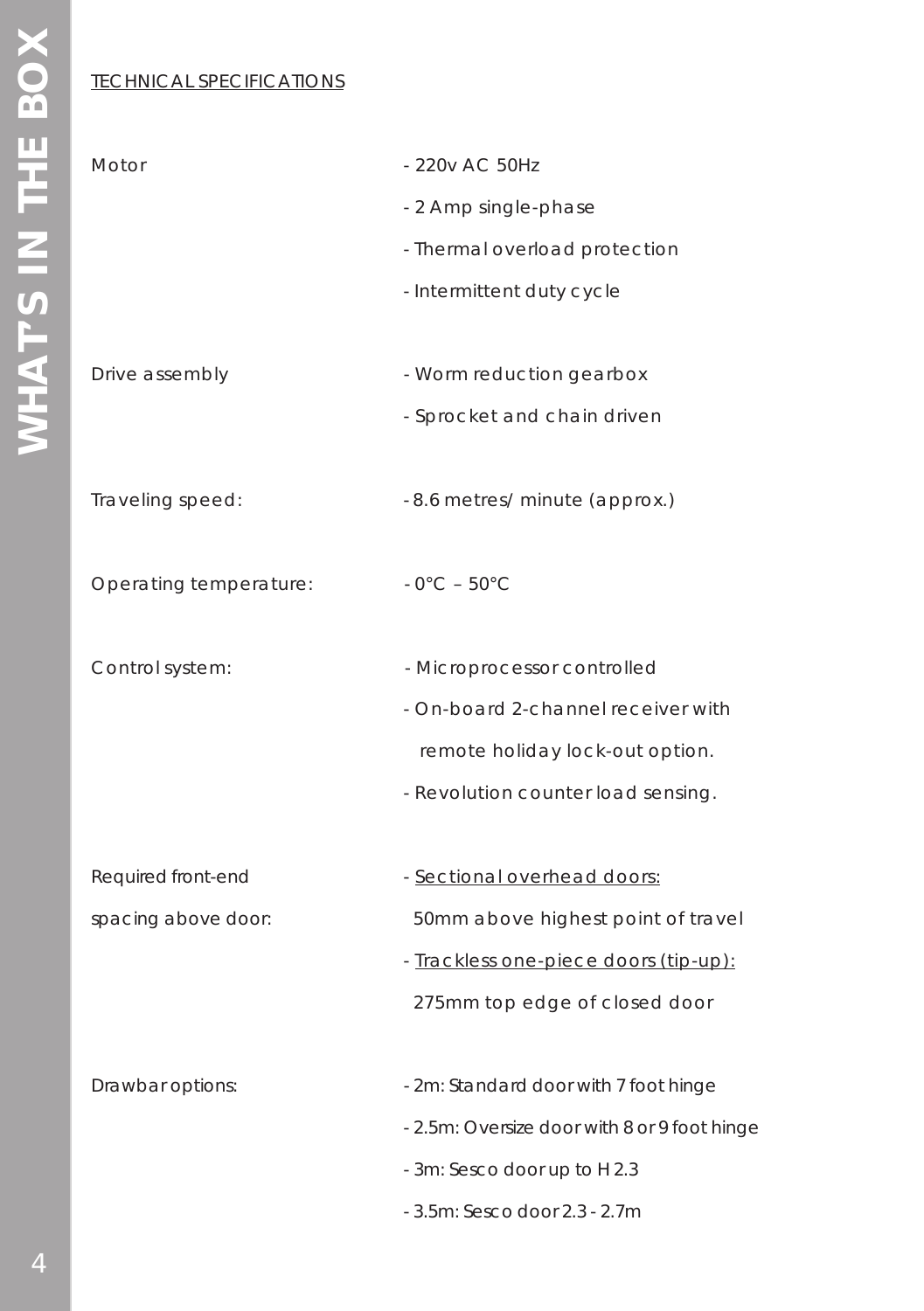### TECHNICAL SPECIFICATIONS

| Motor                  | - 220v AC 50Hz                               |
|------------------------|----------------------------------------------|
|                        | - 2 Amp single-phase                         |
|                        | - Thermal overload protection                |
|                        | - Intermittent duty cycle                    |
|                        |                                              |
| Drive assembly         | - Worm reduction gearbox                     |
|                        |                                              |
|                        | - Sprocket and chain driven                  |
|                        |                                              |
| Traveling speed:       | -8.6 metres/ minute (approx.)                |
|                        |                                              |
| Operating temperature: | $-0^{\circ}$ C – 50 $^{\circ}$ C             |
|                        |                                              |
| Control system:        | - Microprocessor controlled                  |
|                        | - On-board 2-channel receiver with           |
|                        | remote holiday lock-out option.              |
|                        | - Revolution counter load sensing.           |
|                        |                                              |
| Required front-end     | - Sectional overhead doors:                  |
| spacing above door:    | 50mm above highest point of travel           |
|                        | - Trackless one-piece doors (tip-up):        |
|                        | 275mm top edge of closed door                |
|                        |                                              |
| Drawbar options:       | - 2m: Standard door with 7 foot hinge        |
|                        | - 2.5m: Oversize door with 8 or 9 foot hinge |
|                        | - 3m: Sesco door up to H 2.3                 |
|                        |                                              |
|                        | - 3.5m: Sesco door 2.3 - 2.7m                |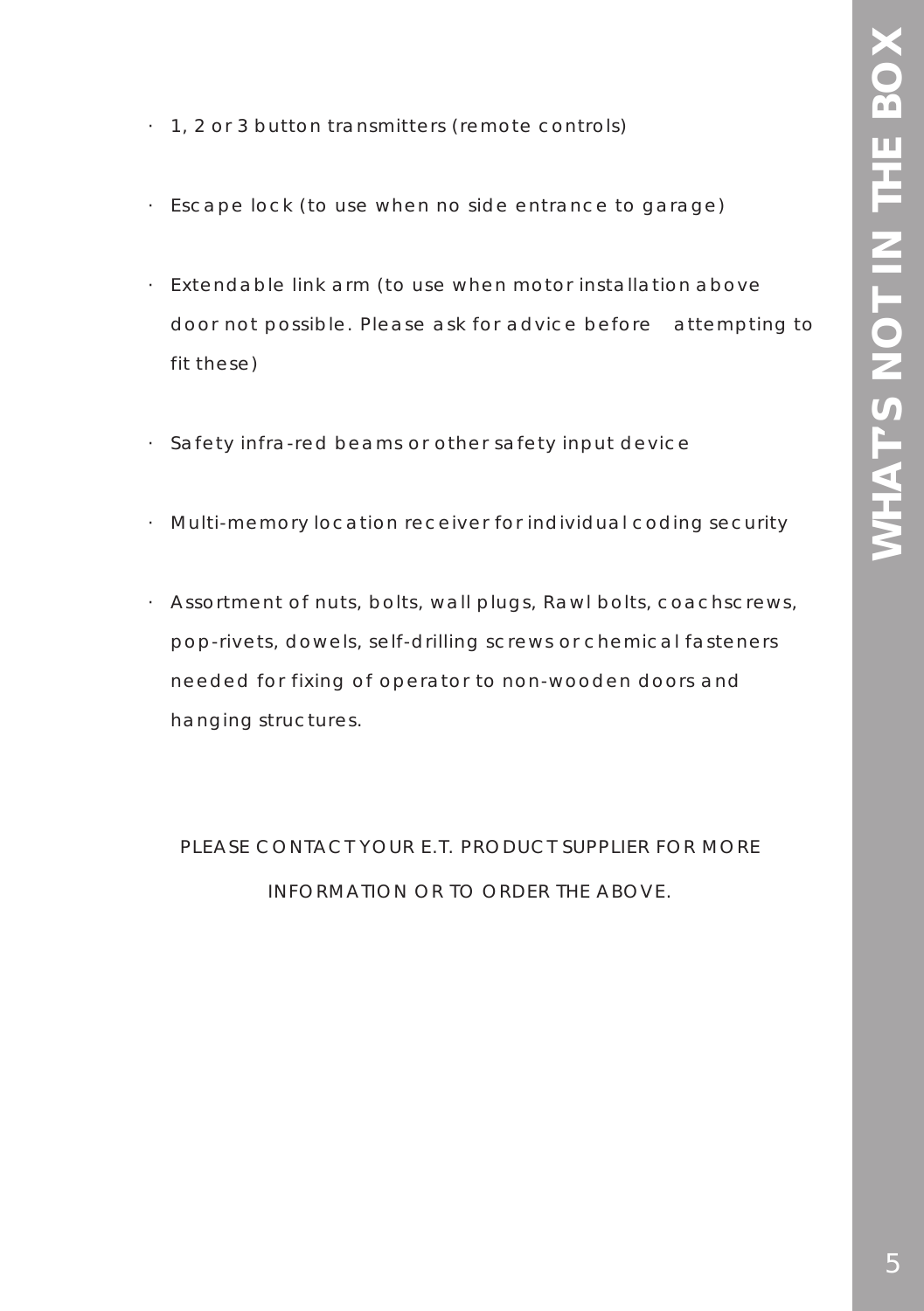- · 1, 2 or 3 button transmitters (remote controls)
- · Escape lock (to use when no side entrance to garage)
- · Extendable link arm (to use when motor installation above door not possible. Please ask for advice before attempting to fit these)
- · Safety infra-red beams or other safety input device
- · Multi-memory location receiver for individual coding security
- · Assortment of nuts, bolts, wall plugs, Rawl bolts, coachscrews, pop-rivets, dowels, self-drilling screws or chemical fasteners needed for fixing of operator to non-wooden doors and hanging structures.

PLEASE CONTACT YOUR E.T. PRODUCT SUPPLIER FOR MORE INFORMATION OR TO ORDER THE ABOVE.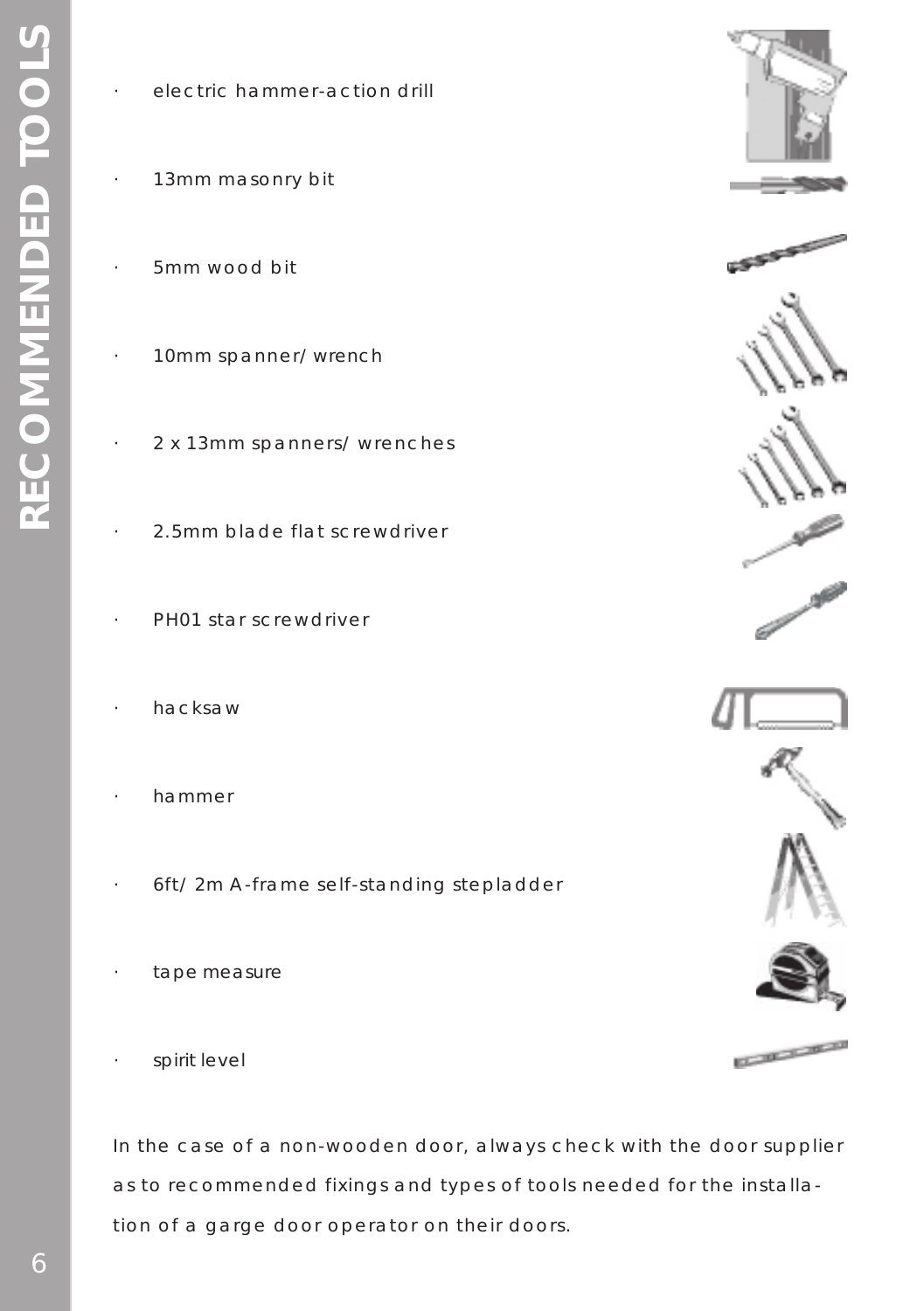| $\overline{\phantom{a}}$ | electric hammer-action drill |  |
|--------------------------|------------------------------|--|
|                          |                              |  |

- 13mm masonry bit
- · 5mm wood bit
- 10mm spanner/ wrench
- · 2 x 13mm spanners/ wrenches
- · 2.5mm blade flat screwdriver
- PH01 star screwdriver
- · hacksaw
- · hammer
- · 6ft/ 2m A-frame self-standing stepladder
- tape measure
- spirit level

In the case of a non-wooden door, always check with the door supplier as to recommended fixings and types of tools needed for the installation of a garge door operator on their doors.















**CONTRACTOR**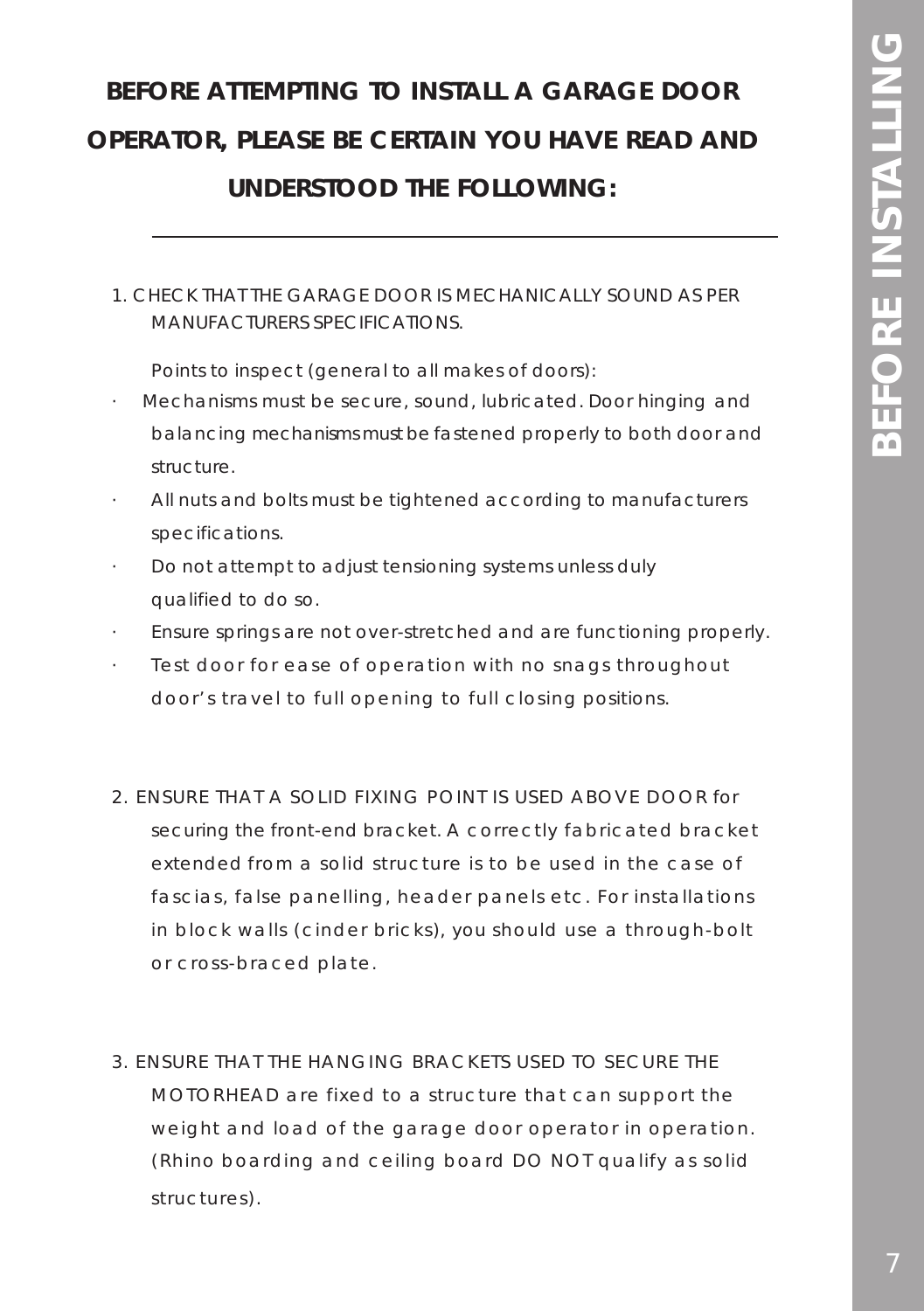# **BEFORE ATTEMPTING TO INSTALL A GARAGE DOOR OPERATOR, PLEASE BE CERTAIN YOU HAVE READ AND UNDERSTOOD THE FOLLOWING:**

### 1. CHECK THAT THE GARAGE DOOR IS MECHANICALLY SOUND AS PER MANUFACTURERS SPECIFICATIONS.

Points to inspect (general to all makes of doors):

- · Mechanisms must be secure, sound, lubricated. Door hinging and balancing mechanisms must be fastened properly to both door and structure.
- All nuts and bolts must be tightened according to manufacturers specifications.
- · Do not attempt to adjust tensioning systems unless duly qualified to do so.
- · Ensure springs are not over-stretched and are functioning properly.
- Test door for ease of operation with no snags throughout door's travel to full opening to full closing positions.
- 2. ENSURE THAT A SOLID FIXING POINT IS USED ABOVE DOOR for securing the front-end bracket. A correctly fabricated bracket extended from a solid structure is to be used in the case of fascias, false panelling, header panels etc. For installations in block walls (cinder bricks), you should use a through-bolt or cross-braced plate.
- 3. ENSURE THAT THE HANGING BRACKETS USED TO SECURE THE MOTORHEAD are fixed to a structure that can support the weight and load of the garage door operator in operation. (Rhino boarding and ceiling board DO NOT qualify as solid structures).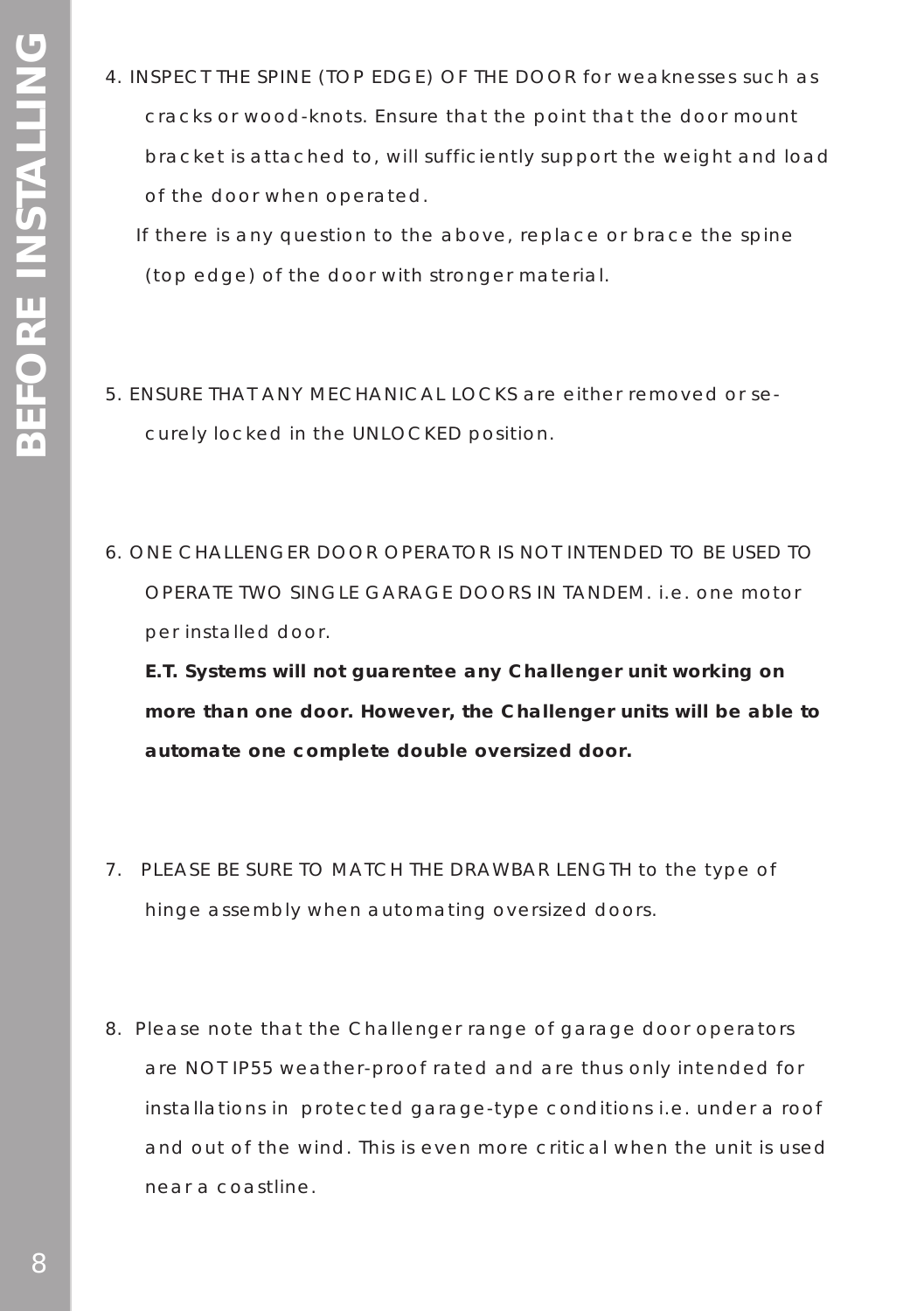4. INSPECT THE SPINE (TOP EDGE) OF THE DOOR for weaknesses such as cracks or wood-knots. Ensure that the point that the door mount bracket is attached to, will sufficiently support the weight and load of the door when operated.

 If there is any question to the above, replace or brace the spine (top edge) of the door with stronger material.

- 5. ENSURE THAT ANY MECHANICAL LOCKS are either removed or securely locked in the UNLOCKED position.
- 6. ONE CHALLENGER DOOR OPERATOR IS NOT INTENDED TO BE USED TO OPERATE TWO SINGLE GARAGE DOORS IN TANDEM. i.e. one motor per installed door.

**E.T. Systems will not guarentee any Challenger unit working on more than one door. However, the Challenger units will be able to automate one complete double oversized door.**

- 7. PLEASE BE SURE TO MATCH THE DRAWBAR LENGTH to the type of hinge assembly when automating oversized doors.
- 8. Please note that the Challenger range of garage door operators are NOT IP55 weather-proof rated and are thus only intended for installations in protected garage-type conditions i.e. under a roof and out of the wind. This is even more critical when the unit is used near a coastline.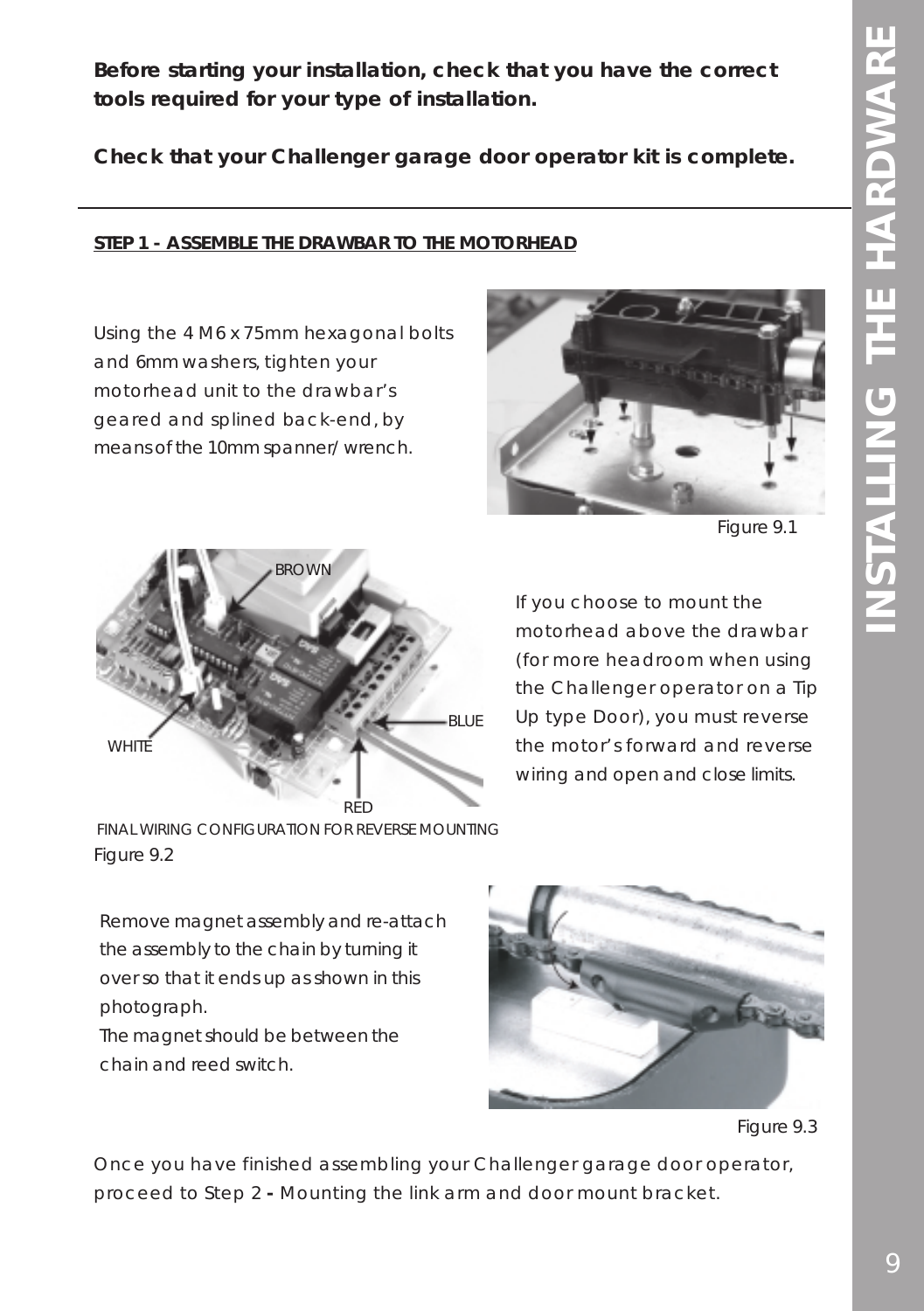**Before starting your installation, check that you have the correct tools required for your type of installation.**

**Check that your Challenger garage door operator kit is complete.**

### **STEP 1 - ASSEMBLE THE DRAWBAR TO THE MOTORHEAD**

Using the 4 M6 x 75mm hexagonal bolts and 6mm washers, tighten your motorhead unit to the drawbar's geared and splined back-end, by means of the 10mm spanner/ wrench.



*Figure 9.1*



FINAL WIRING CONFIGURATION FOR REVERSE MOUNTING *Figure 9.2*

If you choose to mount the motorhead above the drawbar (for more headroom when using the Challenger operator on a Tip Up type Door), you must reverse the motor's forward and reverse wiring and open and close limits.

Remove magnet assembly and re-attach the assembly to the chain by turning it over so that it ends up as shown in this photograph.

The magnet should be between the chain and reed switch.



*Figure 9.3*

Once you have finished assembling your Challenger garage door operator, proceed to Step 2 **-** Mounting the link arm and door mount bracket.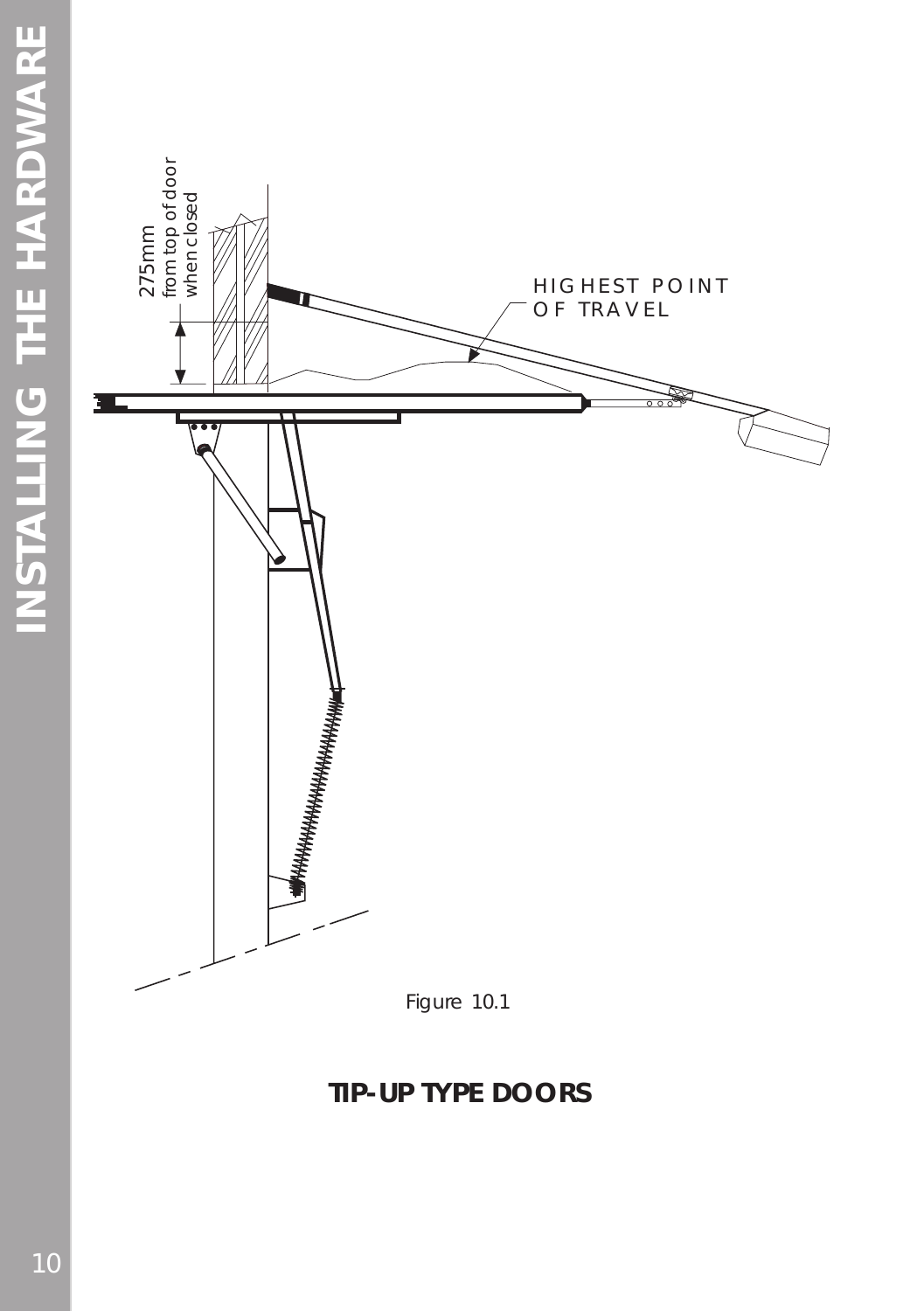

## **TIP-UP TYPE DOORS**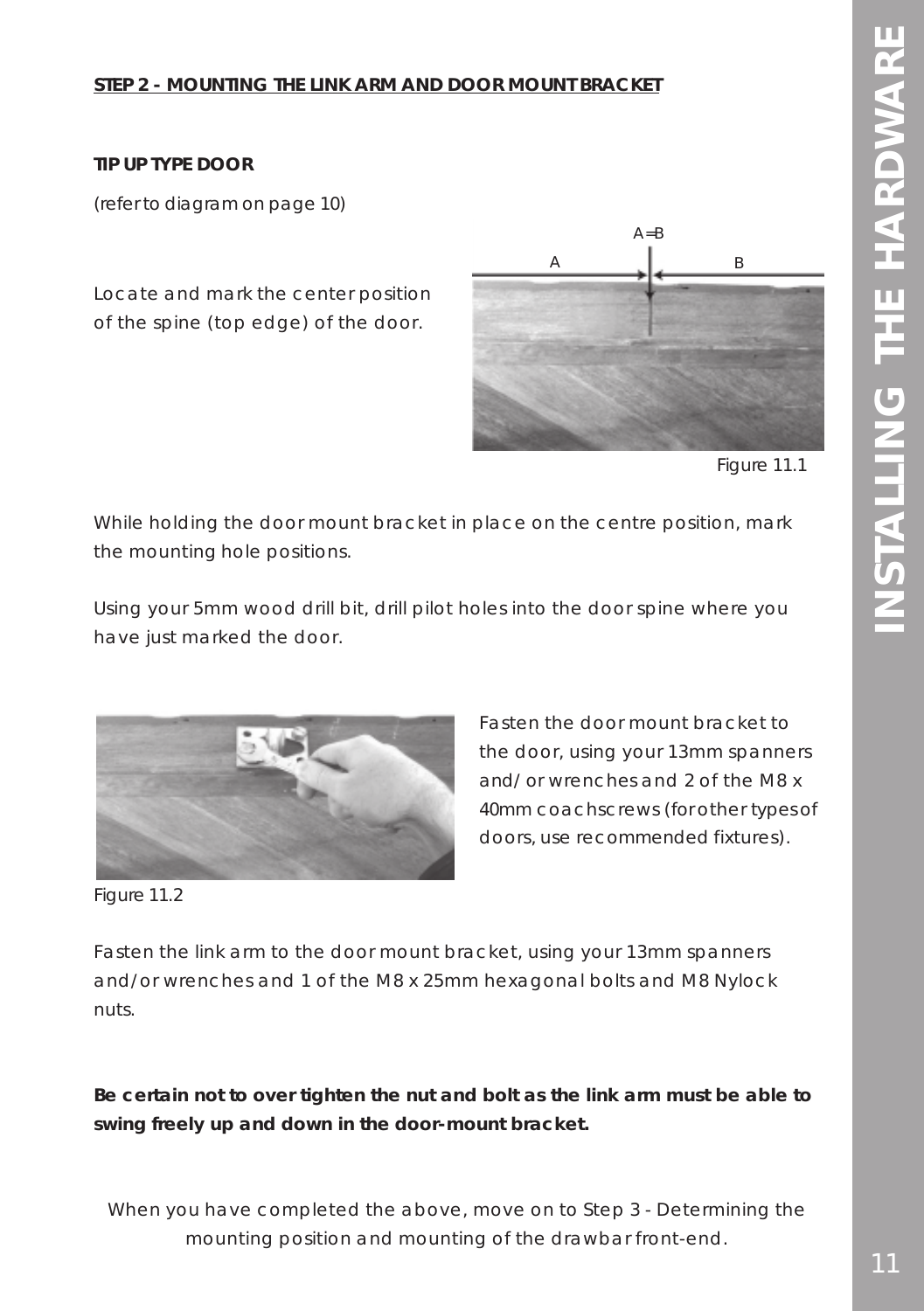### **STEP 2 - MOUNTING THE LINK ARM AND DOOR MOUNT BRACKET**

### **TIP UP TYPE DOOR**

(refer to diagram on page 10)

Locate and mark the center position of the spine (top edge) of the door.



*Figure 11.1 .*

While holding the door mount bracket in place on the centre position, mark the mounting hole positions.

Using your 5mm wood drill bit, drill pilot holes into the door spine where you have just marked the door.



Fasten the door mount bracket to the door, using your 13mm spanners and/ or wrenches and 2 of the M8 x 40mm coachscrews (for other types of doors, use recommended fixtures).

*Figure 11.2*

Fasten the link arm to the door mount bracket, using your 13mm spanners and/or wrenches and 1 of the M8 x 25mm hexagonal bolts and M8 Nylock nuts.

**Be certain not to over tighten the nut and bolt as the link arm must be able to swing freely up and down in the door-mount bracket.**

When you have completed the above, move on to Step 3 - Determining the mounting position and mounting of the drawbar front-end.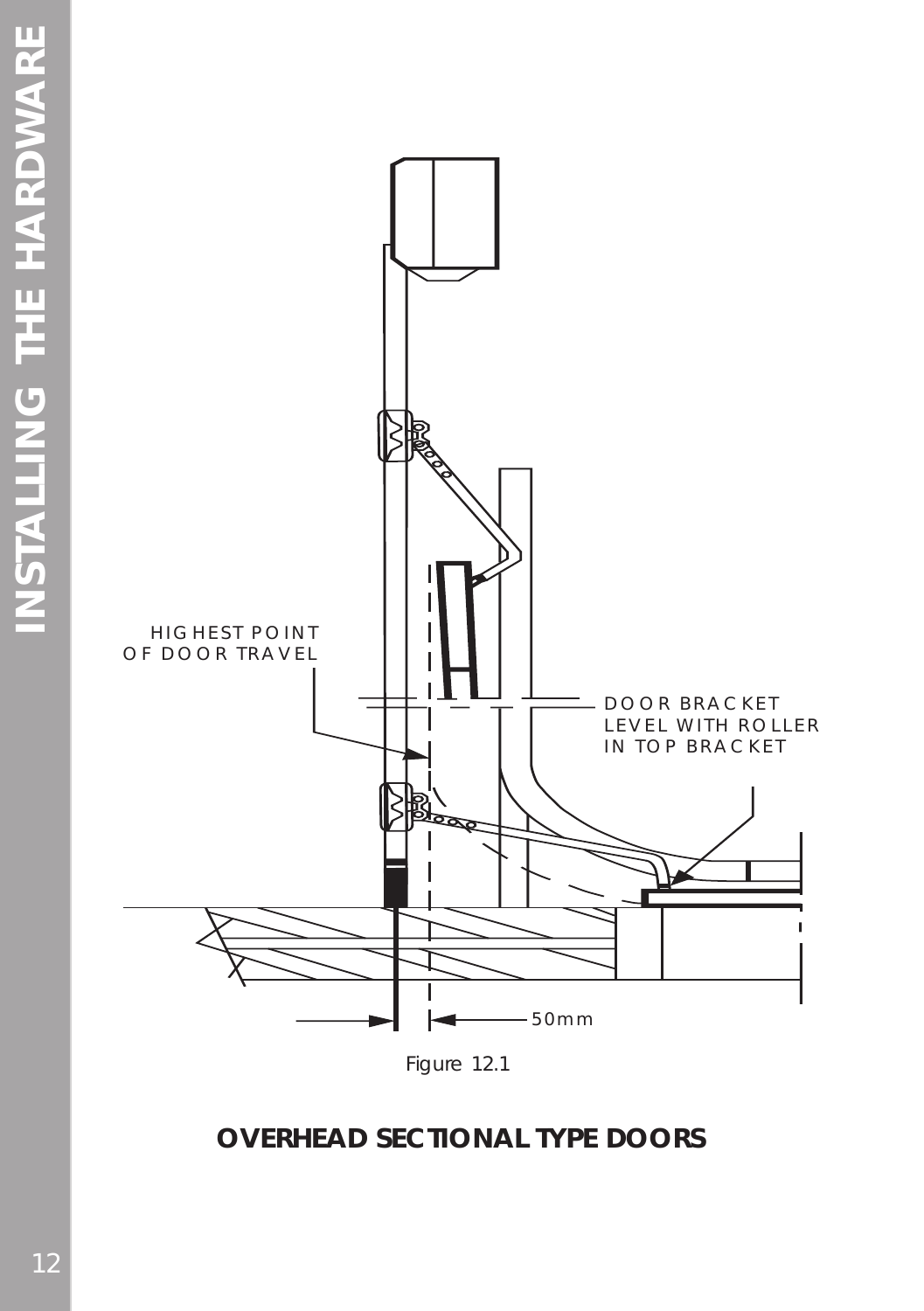

## **OVERHEAD SECTIONAL TYPE DOORS**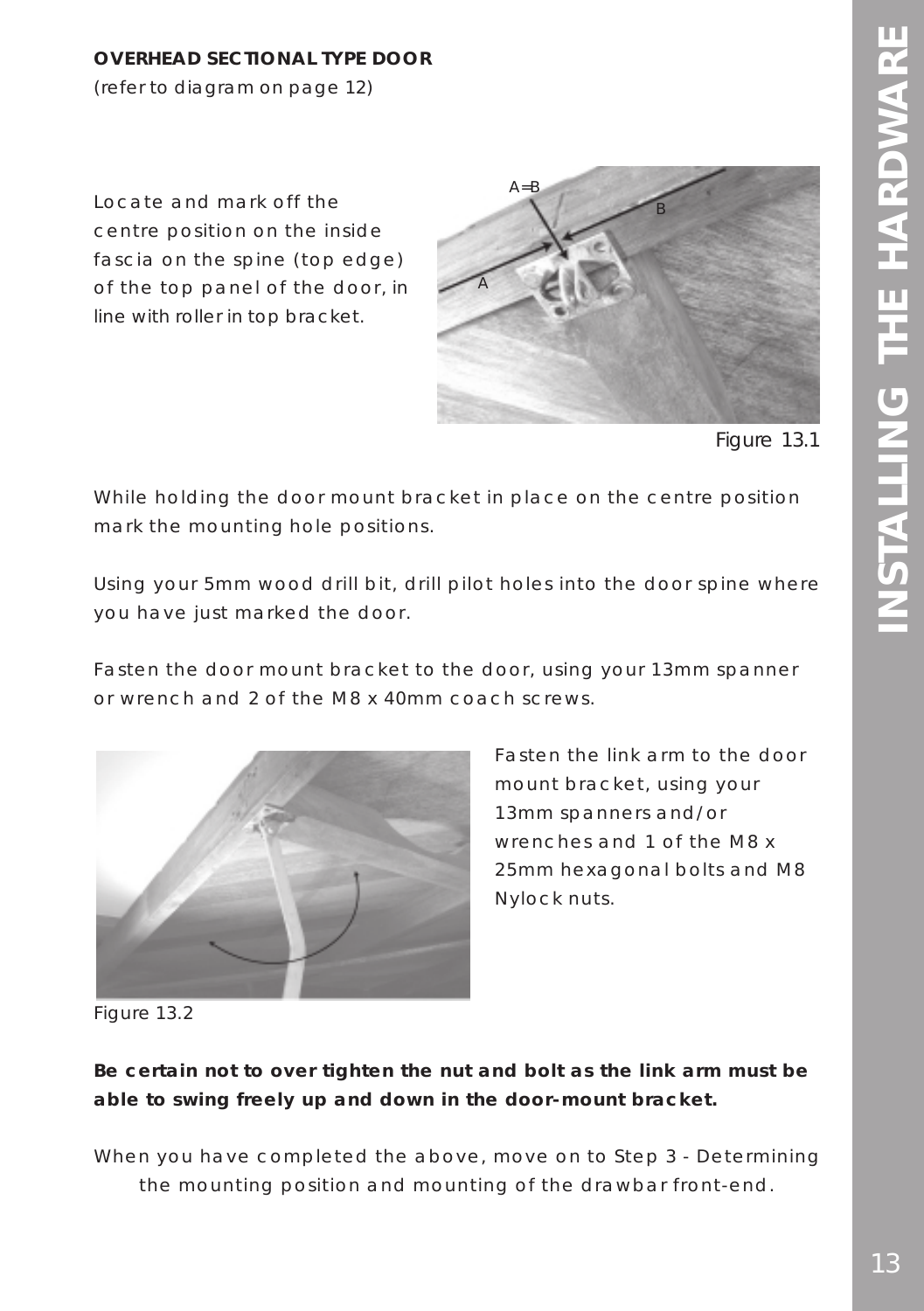### **OVERHEAD SECTIONAL TYPE DOOR**

(refer to diagram on page 12)

Locate and mark off the centre position on the inside fascia on the spine (top edge) of the top panel of the door, in line with roller in top bracket.



*Figure 13.1*

While holding the door mount bracket in place on the centre position mark the mounting hole positions.

Using your 5mm wood drill bit, drill pilot holes into the door spine where you have just marked the door.

Fasten the door mount bracket to the door, using your 13mm spanner or wrench and 2 of the M8 x 40mm coach screws.



Fasten the link arm to the door mount bracket, using your 13mm spanners and/or wrenches and 1 of the M8 x 25mm hexagonal bolts and M8 Nylock nuts.

*Figure 13.2*

### **Be certain not to over tighten the nut and bolt as the link arm must be able to swing freely up and down in the door-mount bracket.**

When you have completed the above, move on to Step 3 - Determining the mounting position and mounting of the drawbar front-end.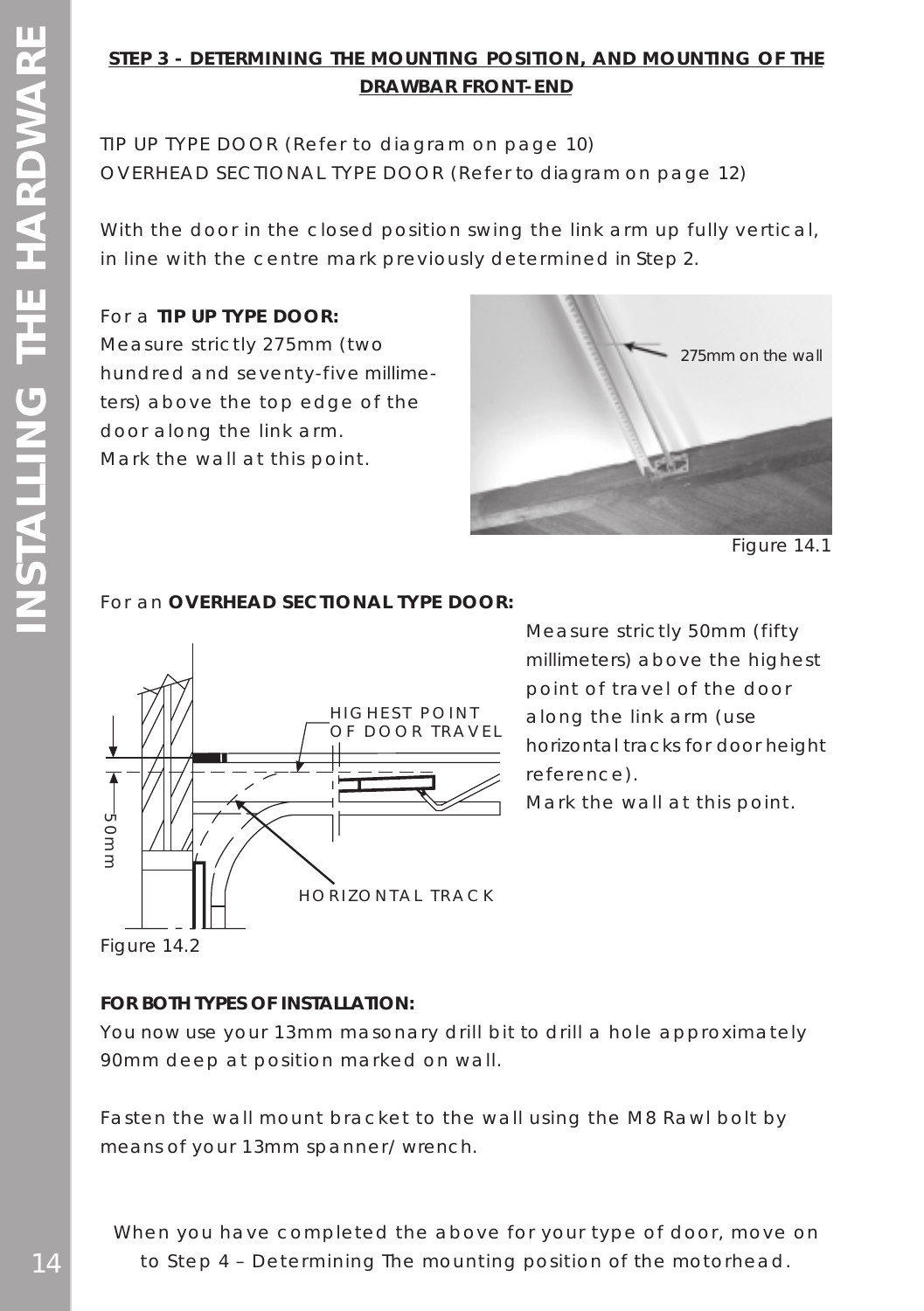## **STEP 3 - DETERMINING THE MOUNTING POSITION, AND MOUNTING OF THE DRAWBAR FRONT-END**

TIP UP TYPE DOOR (Refer to diagram on page 10) OVERHEAD SECTIONAL TYPE DOOR (Refer to diagram on page 12)

With the door in the closed position swing the link arm up fully vertical, in line with the centre mark previously determined in Step 2.

### For a **TIP UP TYPE DOOR:**

Measure strictly 275mm (two hundred and seventy-five millimeters) above the top edge of the door along the link arm. Mark the wall at this point.



*Figure 14.1*

### For an **OVERHEAD SECTIONAL TYPE DOOR:**



Measure strictly 50mm (fifty millimeters) above the highest point of travel of the door along the link arm (use horizontal tracks for door height reference).

Mark the wall at this point.

*Figure 14.2*

### **FOR BOTH TYPES OF INSTALLATION:**

You now use your 13mm masonary drill bit to drill a hole approximately 90mm deep at position marked on wall.

Fasten the wall mount bracket to the wall using the M8 Rawl bolt by means of your 13mm spanner/ wrench.

When you have completed the above for your type of door, move on to Step 4 – Determining The mounting position of the motorhead.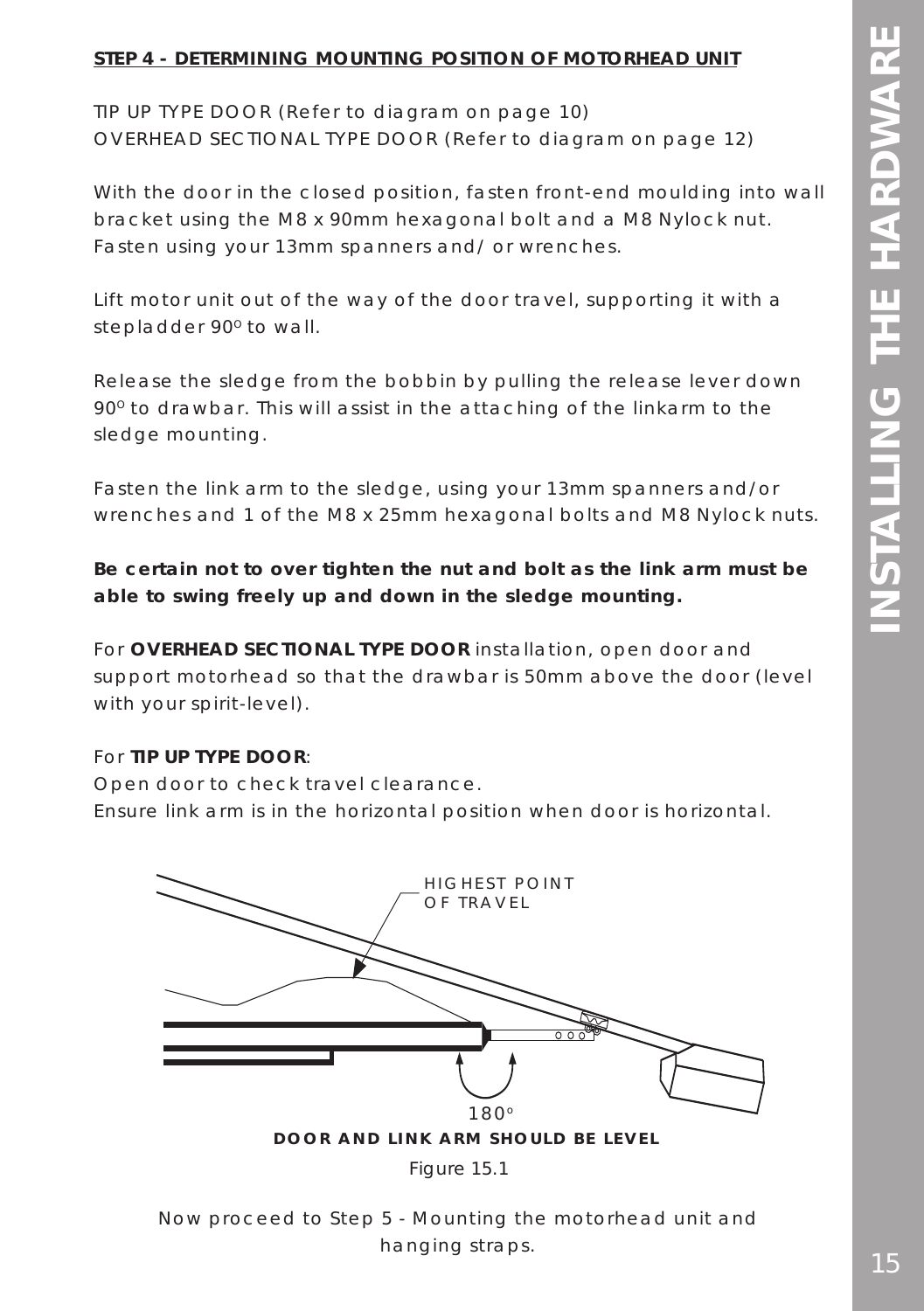### **STEP 4 - DETERMINING MOUNTING POSITION OF MOTORHEAD UNIT**

TIP UP TYPE DOOR (Refer to diagram on page 10) OVERHEAD SECTIONAL TYPE DOOR (Refer to diagram on page 12)

With the door in the closed position, fasten front-end moulding into wall bracket using the M8 x 90mm hexagonal bolt and a M8 Nylock nut. Fasten using your 13mm spanners and/ or wrenches.

Lift motor unit out of the way of the door travel, supporting it with a stepladder 90° to wall.

Release the sledge from the bobbin by pulling the release lever down 90<sup>°</sup> to drawbar. This will assist in the attaching of the linkarm to the sledge mounting.

Fasten the link arm to the sledge, using your 13mm spanners and/or wrenches and 1 of the M8 x 25mm hexagonal bolts and M8 Nylock nuts.

**Be certain not to over tighten the nut and bolt as the link arm must be able to swing freely up and down in the sledge mounting.**

For **OVERHEAD SECTIONAL TYPE DOOR** installation, open door and support motorhead so that the drawbar is 50mm above the door (level with your spirit-level).

### For **TIP UP TYPE DOOR**:

Open door to check travel clearance. Ensure link arm is in the horizontal position when door is horizontal.



Now proceed to Step 5 - Mounting the motorhead unit and hanging straps.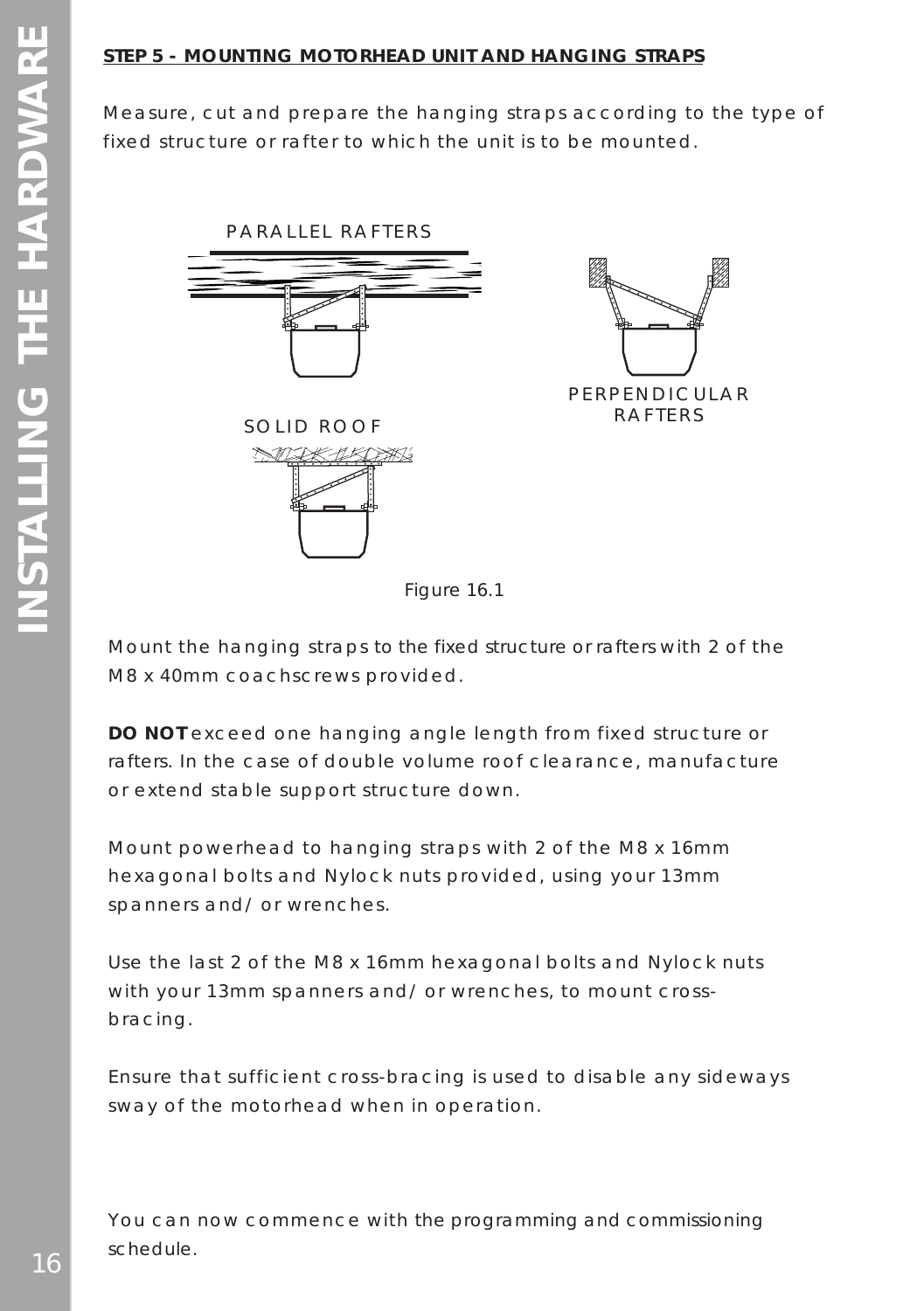### **STEP 5 - MOUNTING MOTORHEAD UNIT AND HANGING STRAPS**

Measure, cut and prepare the hanging straps according to the type of fixed structure or rafter to which the unit is to be mounted.





*Figure 16.1*

Mount the hanging straps to the fixed structure or rafters with 2 of the M8 x 40mm coachscrews provided.

**DO NOT** exceed one hanging angle length from fixed structure or rafters. In the case of double volume roof clearance, manufacture or extend stable support structure down.

Mount powerhead to hanging straps with 2 of the M8 x 16mm hexagonal bolts and Nylock nuts provided, using your 13mm spanners and/ or wrenches.

Use the last 2 of the M8 x 16mm hexagonal bolts and Nylock nuts with your 13mm spanners and/ or wrenches, to mount crossbracing.

Ensure that sufficient cross-bracing is used to disable any sideways sway of the motorhead when in operation.

You can now commence with the programming and commissioning schedule.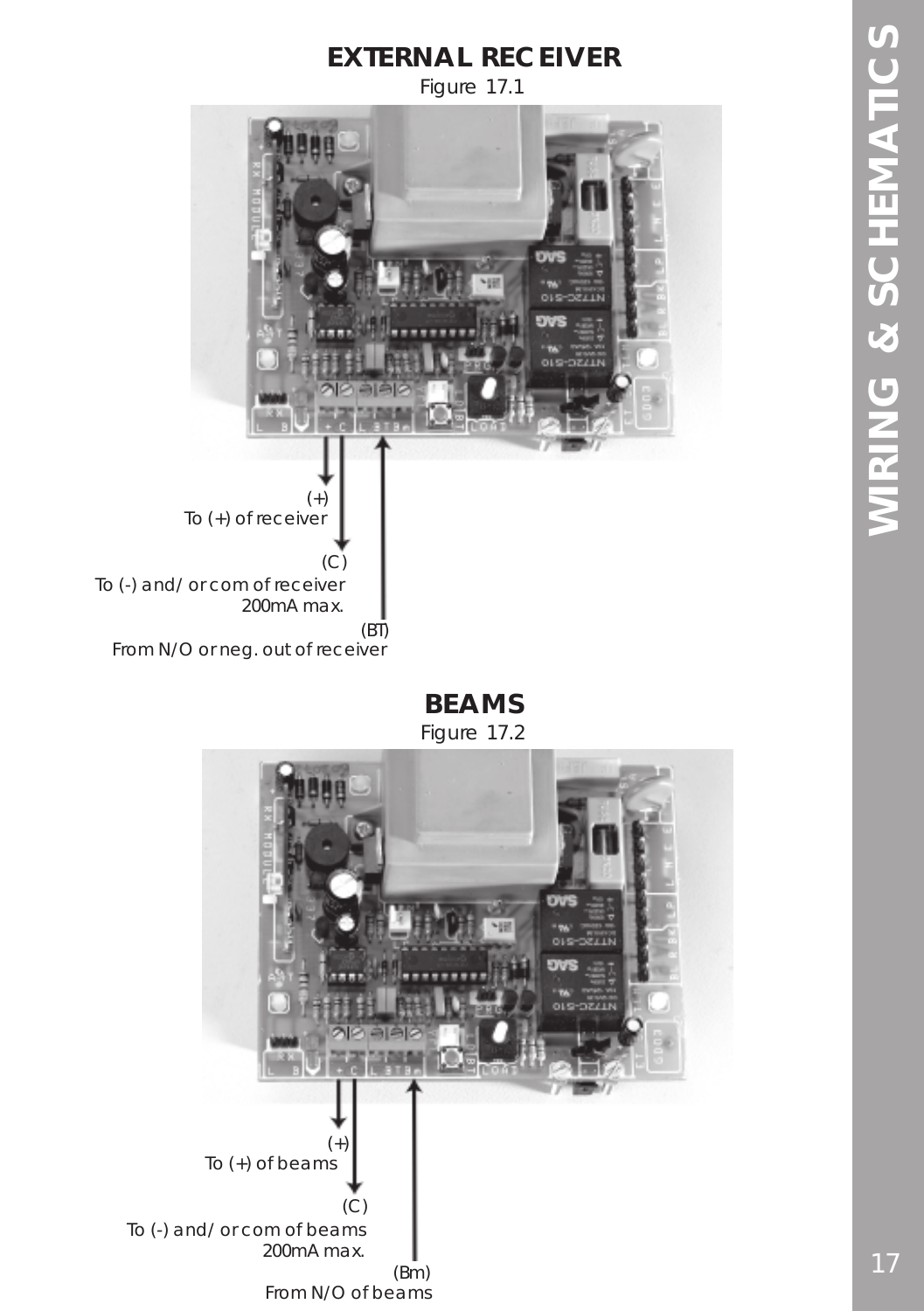## **EXTERNAL RECEIVER**

*Figure 17.1*



## **BEAMS**

*Figure 17.2*

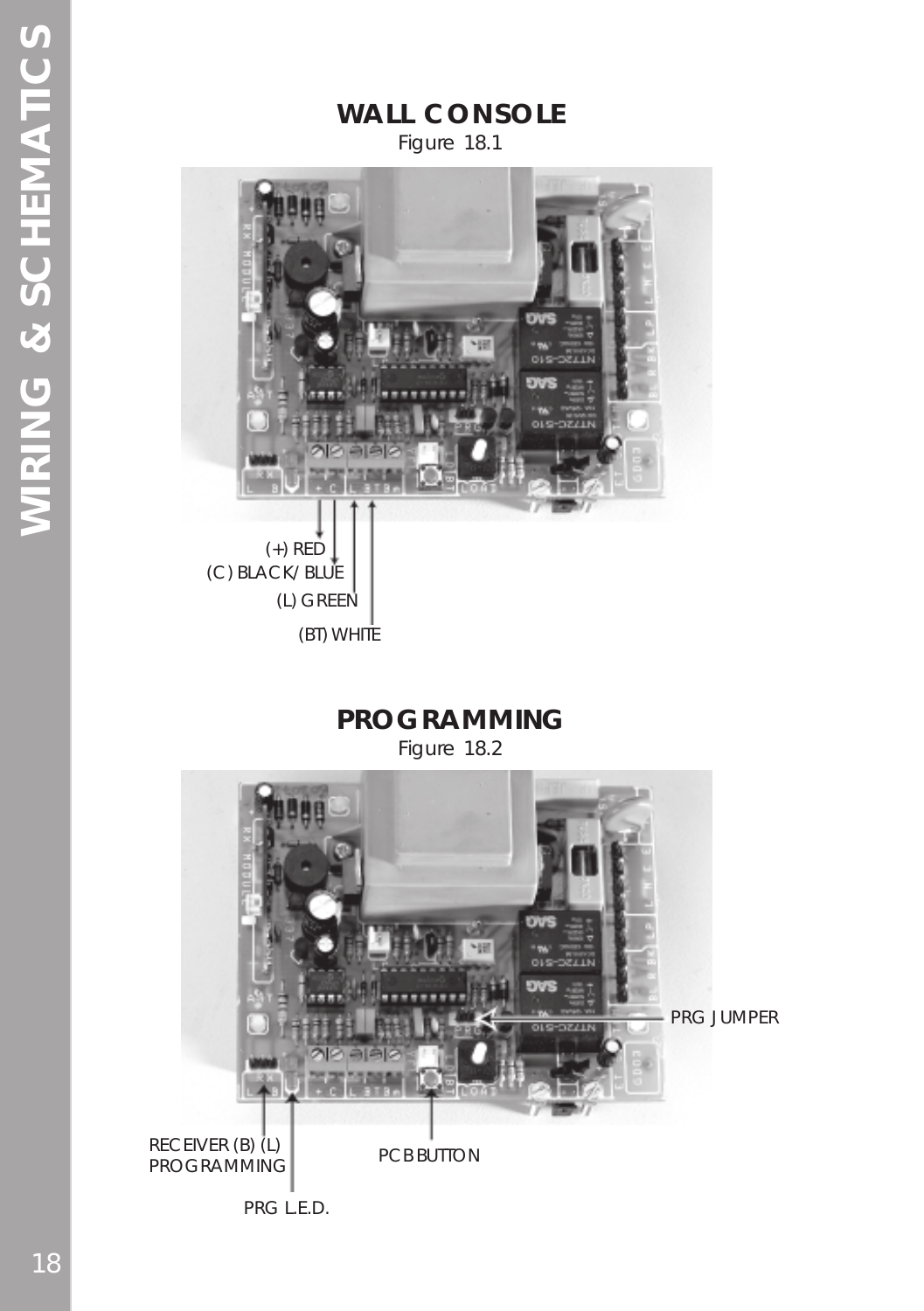**WALL CONSOLE** *Figure 18.1*



**PROGRAMMING**

*Figure 18.2*

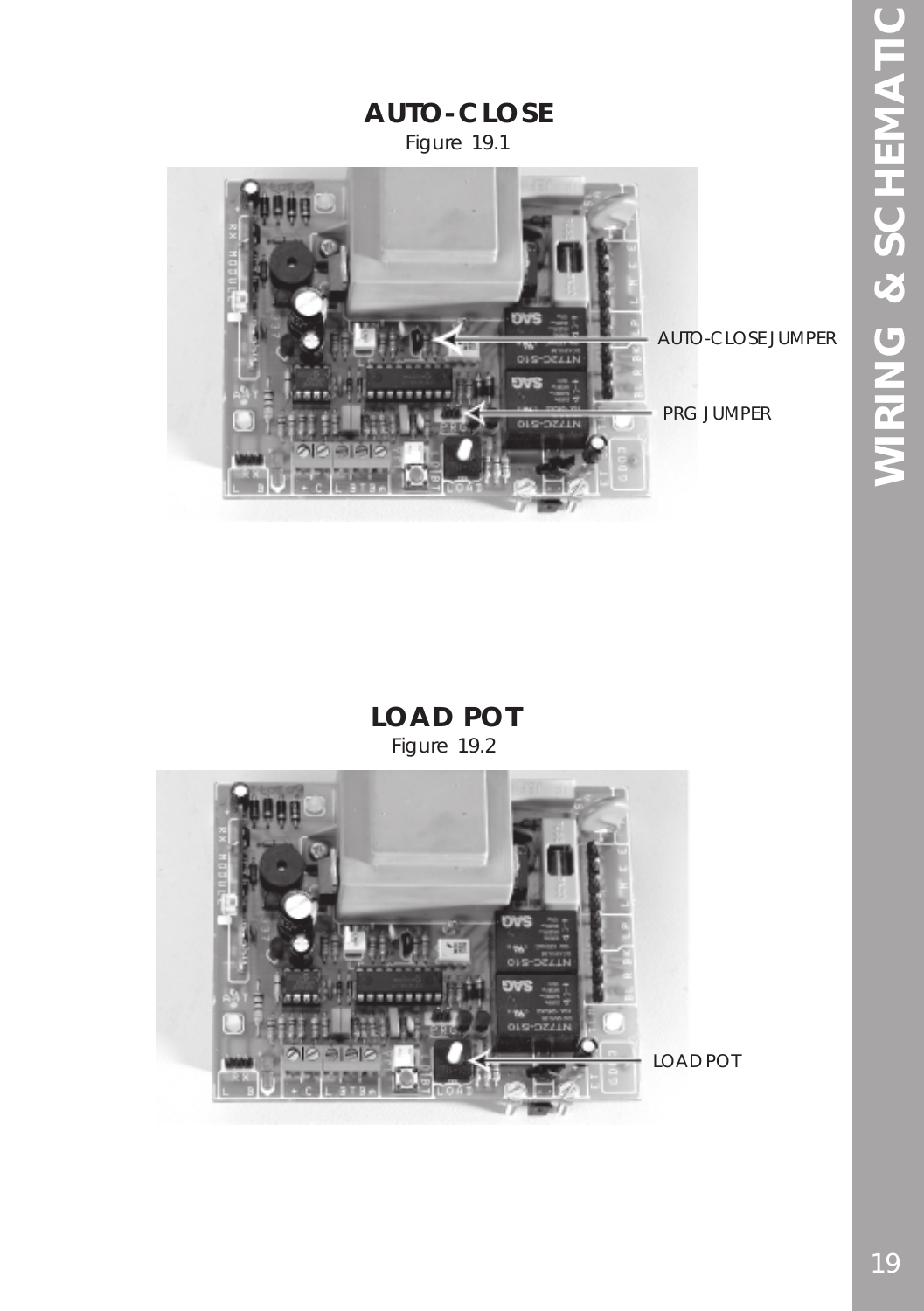

## **LOAD POT** *Figure 19.2*

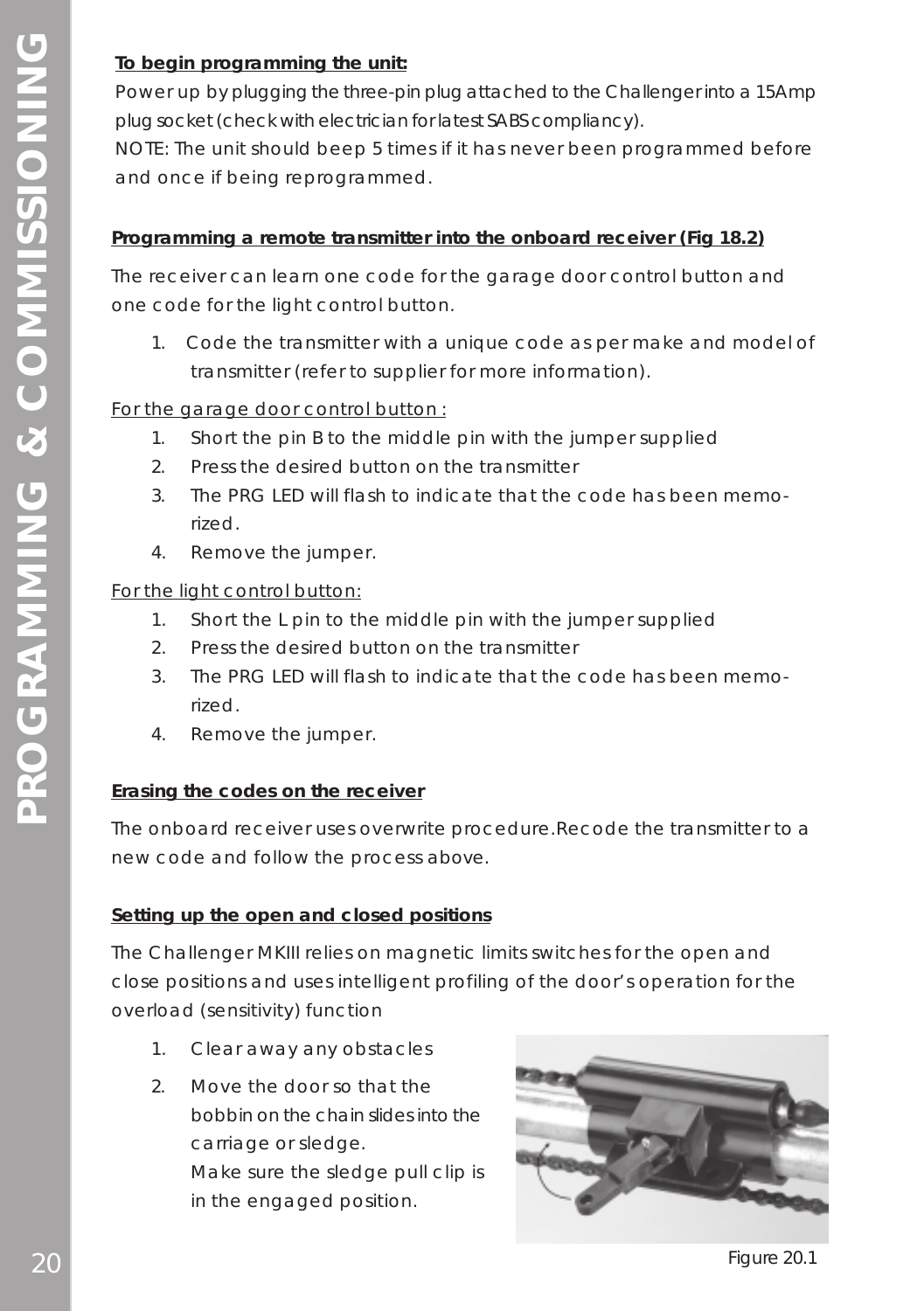### **To begin programming the unit:**

Power up by plugging the three-pin plug attached to the Challenger into a 15Amp plug socket (check with electrician for latest SABS compliancy).

NOTE: The unit should beep 5 times if it has never been programmed before and once if being reprogrammed.

### **Programming a remote transmitter into the onboard receiver (Fig 18.2)**

The receiver can learn one code for the garage door control button and one code for the light control button.

1. Code the transmitter with a unique code as per make and model of transmitter (refer to supplier for more information).

### For the garage door control button :

- 1. Short the pin B to the middle pin with the jumper supplied
- 2. Press the desired button on the transmitter
- 3. The PRG LED will flash to indicate that the code has been memorized.
- 4. Remove the jumper.

### For the light control button:

- 1. Short the L pin to the middle pin with the jumper supplied
- 2. Press the desired button on the transmitter
- 3. The PRG LED will flash to indicate that the code has been memorized.
- 4. Remove the jumper.

### **Erasing the codes on the receiver**

The onboard receiver uses overwrite procedure.Recode the transmitter to a new code and follow the process above.

### **Setting up the open and closed positions**

The Challenger MKIII relies on magnetic limits switches for the open and close positions and uses intelligent profiling of the door's operation for the overload (sensitivity) function

- 1. Clear away any obstacles
- 2. Move the door so that the bobbin on the chain slides into the carriage or sledge. Make sure the sledge pull clip is in the engaged position.



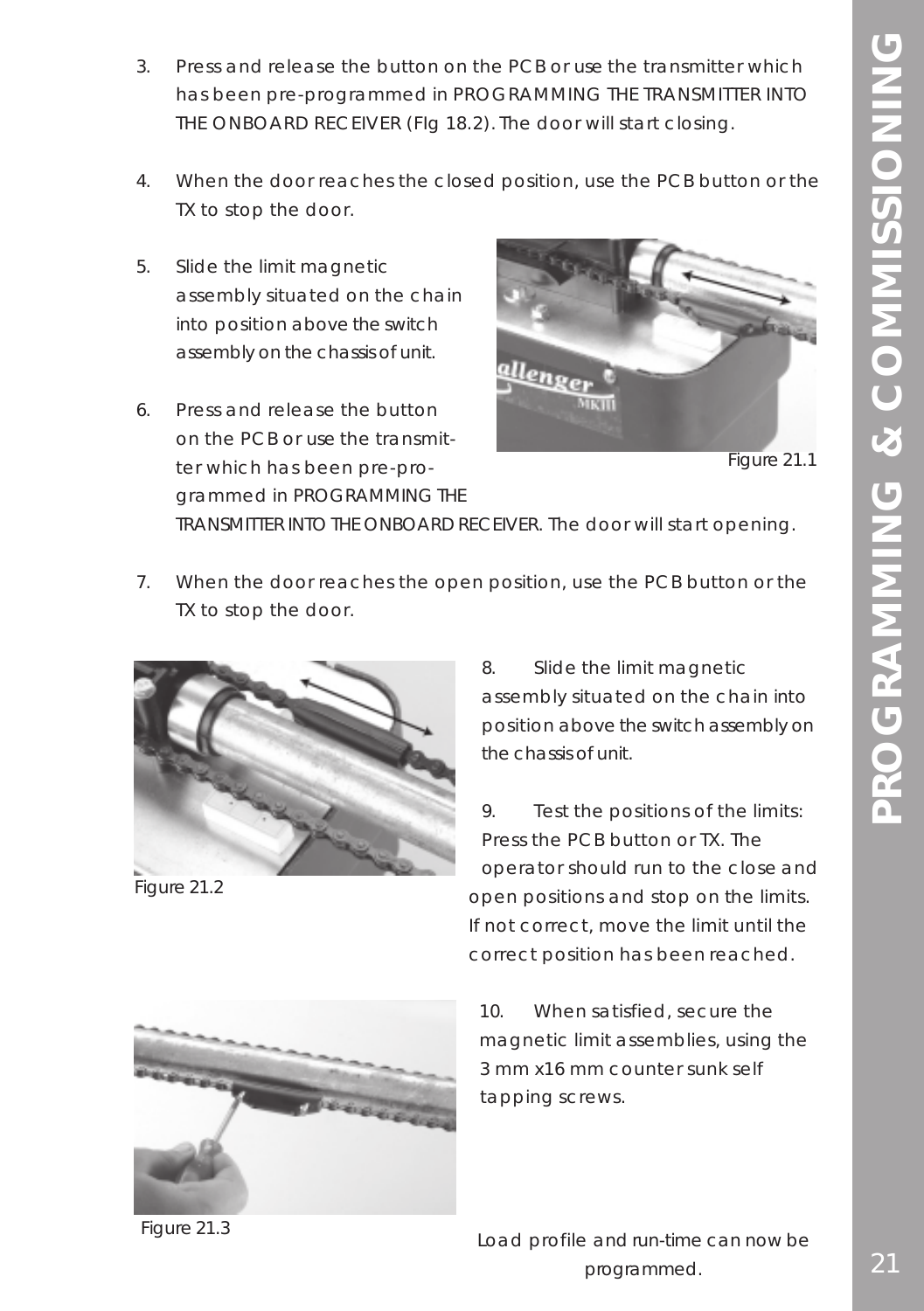- 3. Press and release the button on the PCB or use the transmitter which has been pre-programmed in PROGRAMMING THE TRANSMITTER INTO THE ONBOARD RECEIVER (FIg 18.2). The door will start closing.
- 4. When the door reaches the closed position, use the PCB button or the TX to stop the door.
- 5. Slide the limit magnetic assembly situated on the chain into position above the switch assembly on the chassis of unit.
- 6. Press and release the button on the PCB or use the transmitter which has been pre-programmed in PROGRAMMING THE



Figure 21.1

TRANSMITTER INTO THE ONBOARD RECEIVER. The door will start opening.

7. When the door reaches the open position, use the PCB button or the TX to stop the door.



Figure 21.2

8. Slide the limit magnetic assembly situated on the chain into position above the switch assembly on the chassis of unit.

9. Test the positions of the limits: Press the PCB button or TX. The operator should run to the close and open positions and stop on the limits. If not correct, move the limit until the correct position has been reached.



10. When satisfied, secure the magnetic limit assemblies, using the 3 mm x16 mm counter sunk self tapping screws.

*Figure 21.3*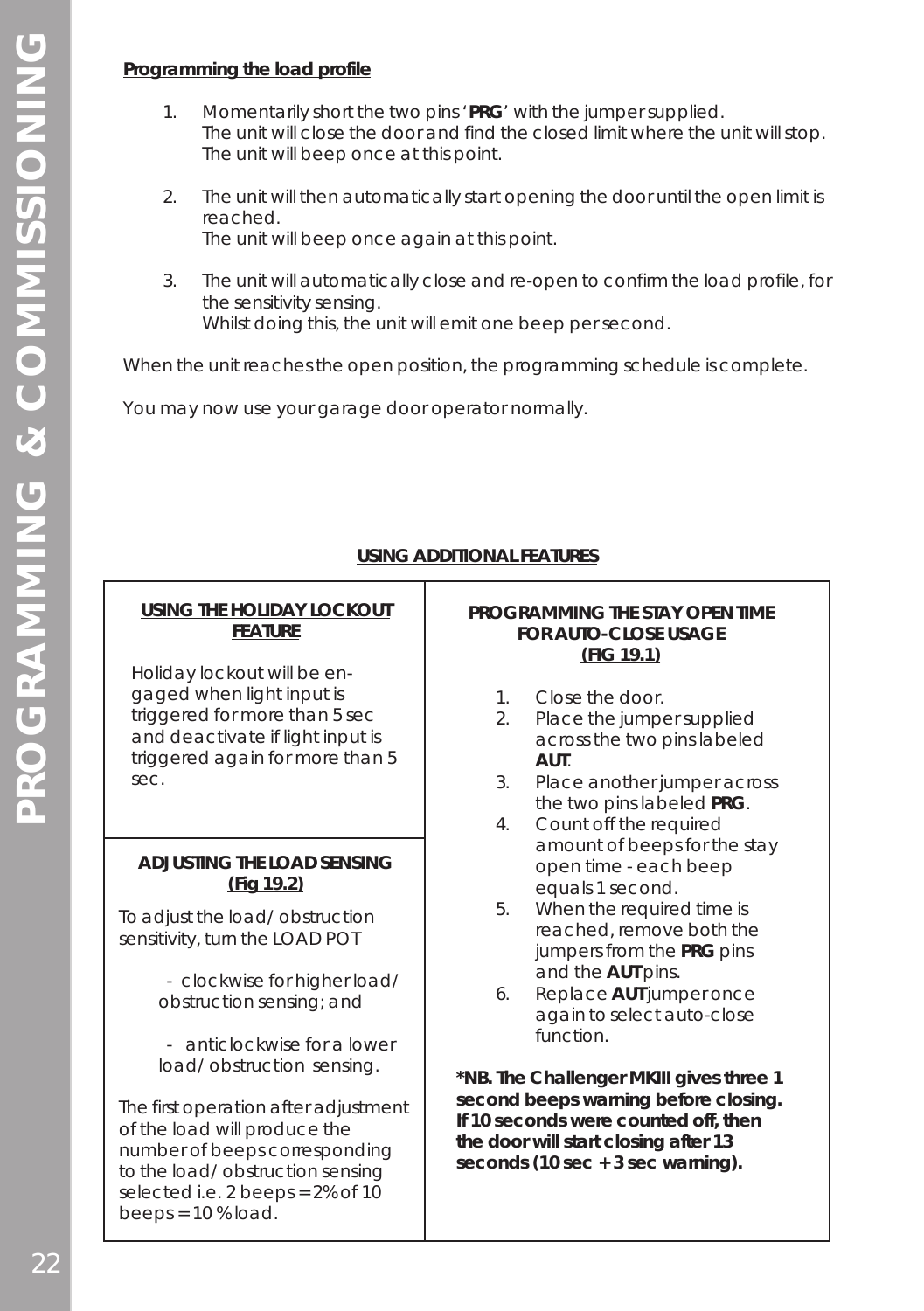### **Programming the load profile**

- 1. Momentarily short the two pins '**PRG**' with the jumper supplied. The unit will close the door and find the closed limit where the unit will stop. The unit will beep once at this point.
- 2. The unit will then automatically start opening the door until the open limit is reached. The unit will beep once again at this point.
- 3. The unit will automatically close and re-open to confirm the load profile, for the sensitivity sensing. Whilst doing this, the unit will emit one beep per second.

When the unit reaches the open position, the programming schedule is complete.

You may now use your garage door operator normally.

### **USING ADDITIONAL FEATURES**

### **USING THE HOLIDAY LOCKOUT FEATURE**

Holiday lockout will be engaged when light input is triggered for more than 5 sec and deactivate if light input is triggered again for more than 5 sec.

### **ADJUSTING THE LOAD SENSING (Fig 19.2)**

To adjust the load/ obstruction sensitivity, turn the LOAD POT

> - clockwise for higher load/ obstruction sensing; and

- anticlockwise for a lower load/ obstruction sensing.

The first operation after adjustment of the load will produce the number of beeps corresponding to the load/ obstruction sensing selected i.e. 2 beeps = 2% of 10 beeps =  $10%$  load.

### **PROGRAMMING THE STAY OPEN TIME FOR AUTO-CLOSE USAGE (FIG 19.1)**

- 1. Close the door.
- 2. Place the jumper supplied across the two pins labeled **AUT**.
- 3. Place another jumper across the two pins labeled **PRG**.
- 4. Count off the required amount of beeps for the stay open time - each beep equals 1 second.
- 5. When the required time is reached, remove both the jumpers from the **PRG** pins and the **AUT** pins.
- 6. Replace **AUT** jumper once again to select auto-close function.

**\*NB. The Challenger MKIII gives three 1 second beeps warning before closing. If 10 seconds were counted off, then the door will start closing after 13 seconds (10 sec + 3 sec warning).**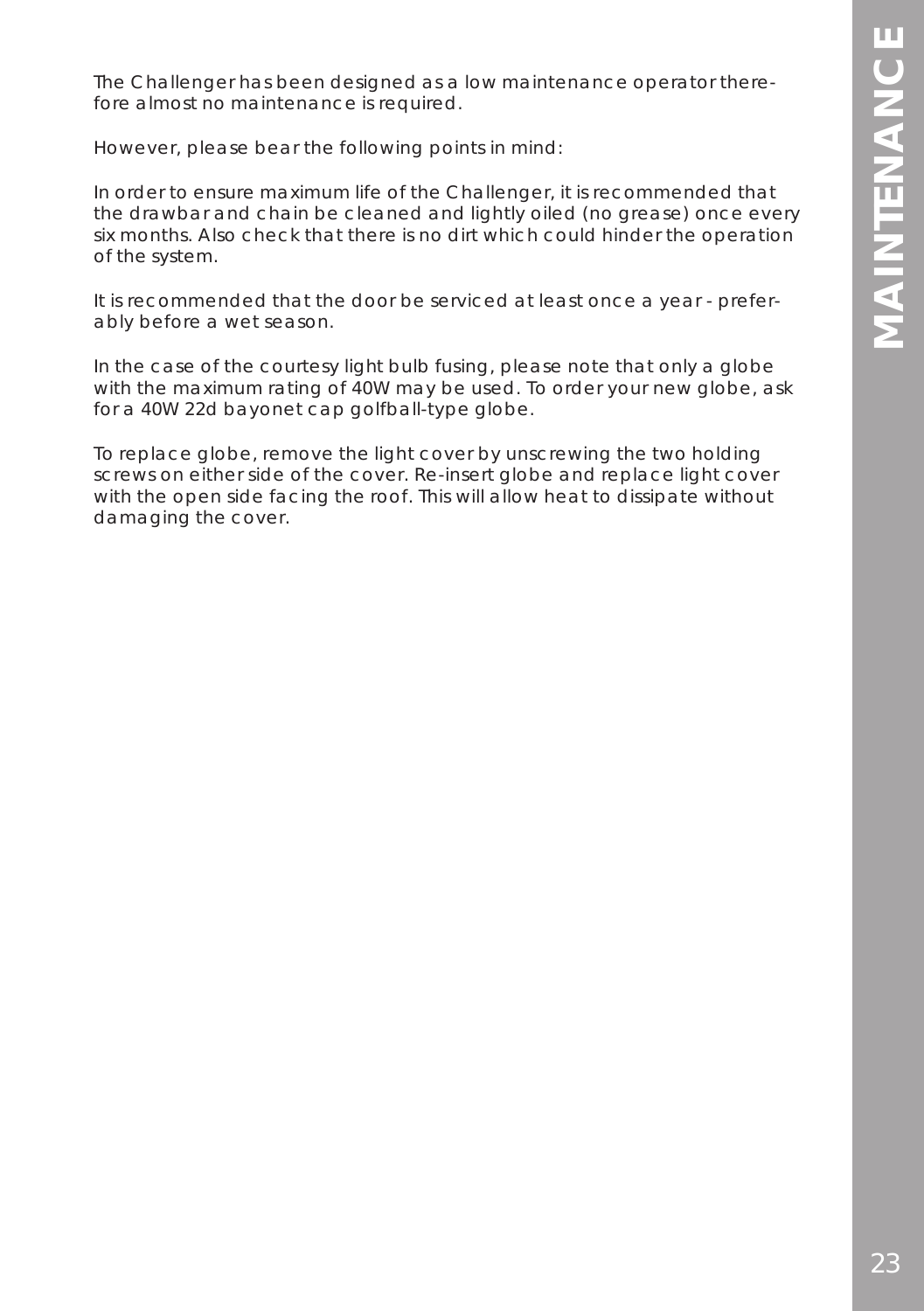The Challenger has been designed as a low maintenance operator therefore almost no maintenance is required.

However, please bear the following points in mind:

In order to ensure maximum life of the Challenger, it is recommended that the drawbar and chain be cleaned and lightly oiled (no grease) once every six months. Also check that there is no dirt which could hinder the operation of the system.

It is recommended that the door be serviced at least once a year - preferably before a wet season.

In the case of the courtesy light bulb fusing, please note that only a globe with the maximum rating of 40W may be used. To order your new globe, ask for a 40W 22d bayonet cap golfball-type globe.

To replace globe, remove the light cover by unscrewing the two holding screws on either side of the cover. Re-insert globe and replace light cover with the open side facing the roof. This will allow heat to dissipate without damaging the cover.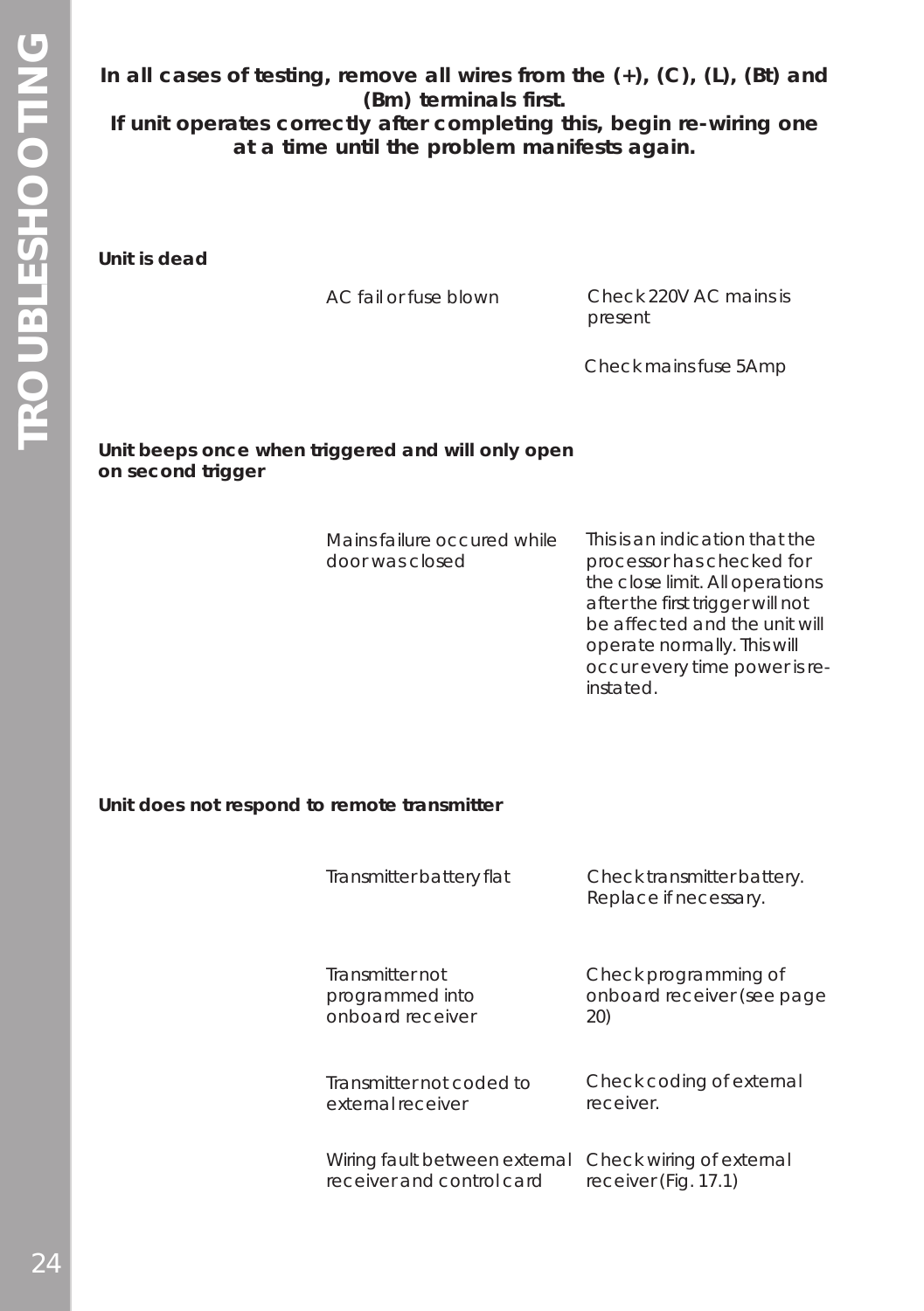**In all cases of testing, remove all wires from the (+), (C), (L), (Bt) and (Bm) terminals first.**

**If unit operates correctly after completing this, begin re-wiring one at a time until the problem manifests again.**

**Unit is dead**

AC fail or fuse blown Check 220V AC mains is present

Check mains fuse 5Amp

### **Unit beeps once when triggered and will only open on second trigger**

| Mains failure occured while | This is an indication that the   |
|-----------------------------|----------------------------------|
| door was closed             | processor has checked for        |
|                             | the close limit. All operations  |
|                             | after the first trigger will not |
|                             | be affected and the unit will    |
|                             | operate normally. This will      |
|                             | occur every time power is re-    |
|                             | instated.                        |

### **Unit does not respond to remote transmitter**

| Transmitter battery flat      | Check transmitter battery.<br>Replace if necessary. |
|-------------------------------|-----------------------------------------------------|
| Transmitter not               | Check programming of                                |
| programmed into               | onboard receiver (see page                          |
| onboard receiver              | 20)                                                 |
| Transmitter not coded to      | Check coding of external                            |
| external receiver             | receiver.                                           |
| Wiring fault between external | Check wiring of external                            |
| receiver and control card     | receiver (Fig. 17.1)                                |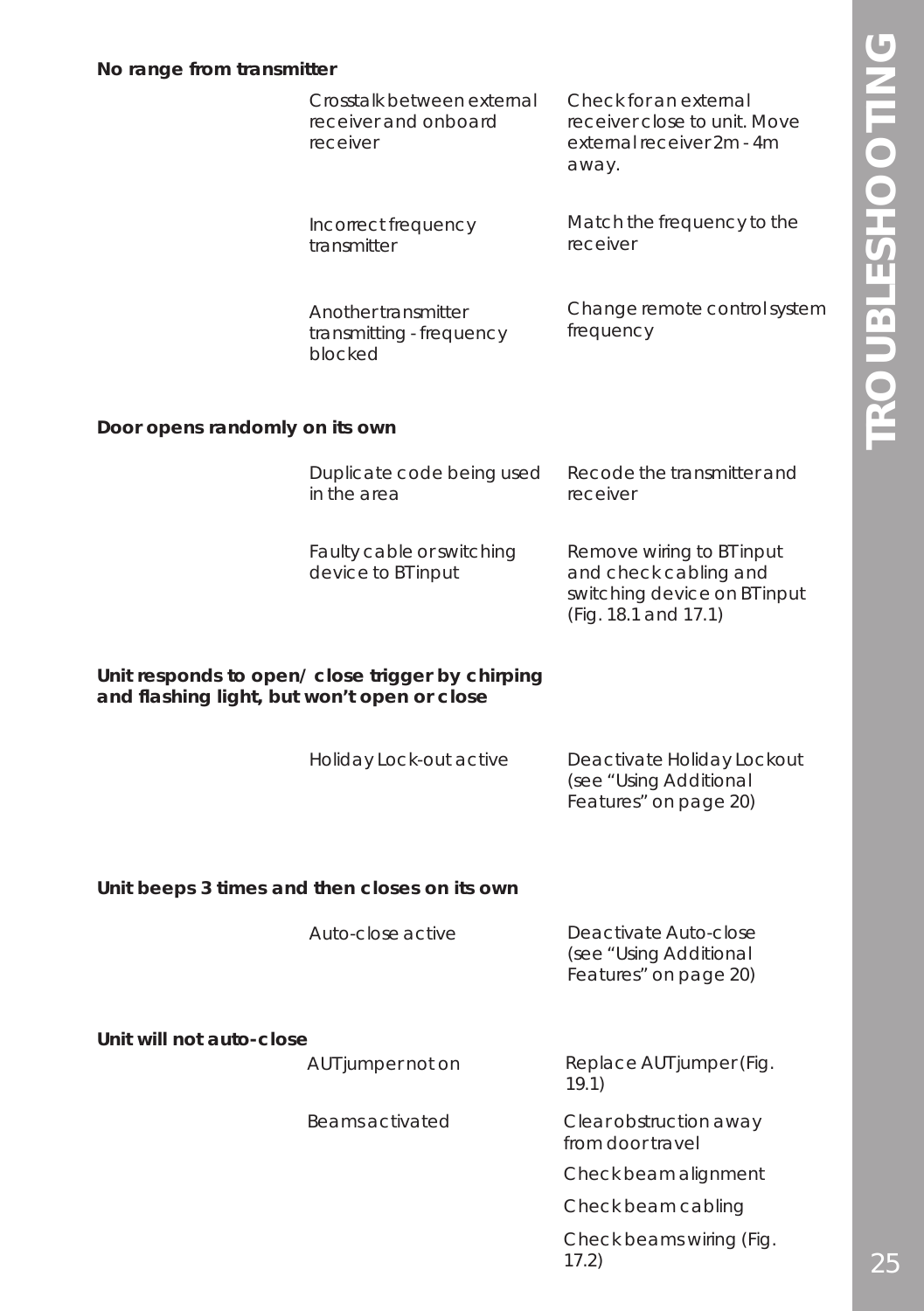|                                                                                                 | Crosstalk between external<br>receiver and onboard<br>receiver | Check for an external<br>receiver close to unit. Move<br>external receiver 2m - 4m<br>away.                |
|-------------------------------------------------------------------------------------------------|----------------------------------------------------------------|------------------------------------------------------------------------------------------------------------|
|                                                                                                 | Incorrect frequency<br>transmitter                             | Match the frequency to the<br>receiver                                                                     |
|                                                                                                 | Another transmitter<br>transmitting - frequency<br>blocked     | Change remote control system<br>frequency                                                                  |
| Door opens randomly on its own                                                                  |                                                                |                                                                                                            |
|                                                                                                 | Duplicate code being used<br>in the area                       | Recode the transmitter and<br>receiver                                                                     |
|                                                                                                 | Faulty cable or switching<br>device to BT input                | Remove wiring to BT input<br>and check cabling and<br>switching device on BT input<br>(Fig. 18.1 and 17.1) |
| Unit responds to open/ close trigger by chirping<br>and flashing light, but won't open or close |                                                                |                                                                                                            |
|                                                                                                 | Holiday Lock-out active                                        | Deactivate Holiday Lockout<br>(see "Using Additional<br>Features" on page 20)                              |
|                                                                                                 | Unit beeps 3 times and then closes on its own                  |                                                                                                            |
|                                                                                                 | Auto-close active                                              | Deactivate Auto-close<br>(see "Using Additional<br>Features" on page 20)                                   |
| Unit will not auto-close                                                                        |                                                                |                                                                                                            |
|                                                                                                 | AUT jumper not on                                              | Replace AUT jumper (Fig.<br>19.1)                                                                          |
|                                                                                                 | Beams activated                                                | Clear obstruction away<br>from door travel                                                                 |
|                                                                                                 |                                                                | Check beam alignment                                                                                       |
|                                                                                                 |                                                                | Check beam cabling                                                                                         |
|                                                                                                 |                                                                | Check beams wiring (Fig.<br>17.2)                                                                          |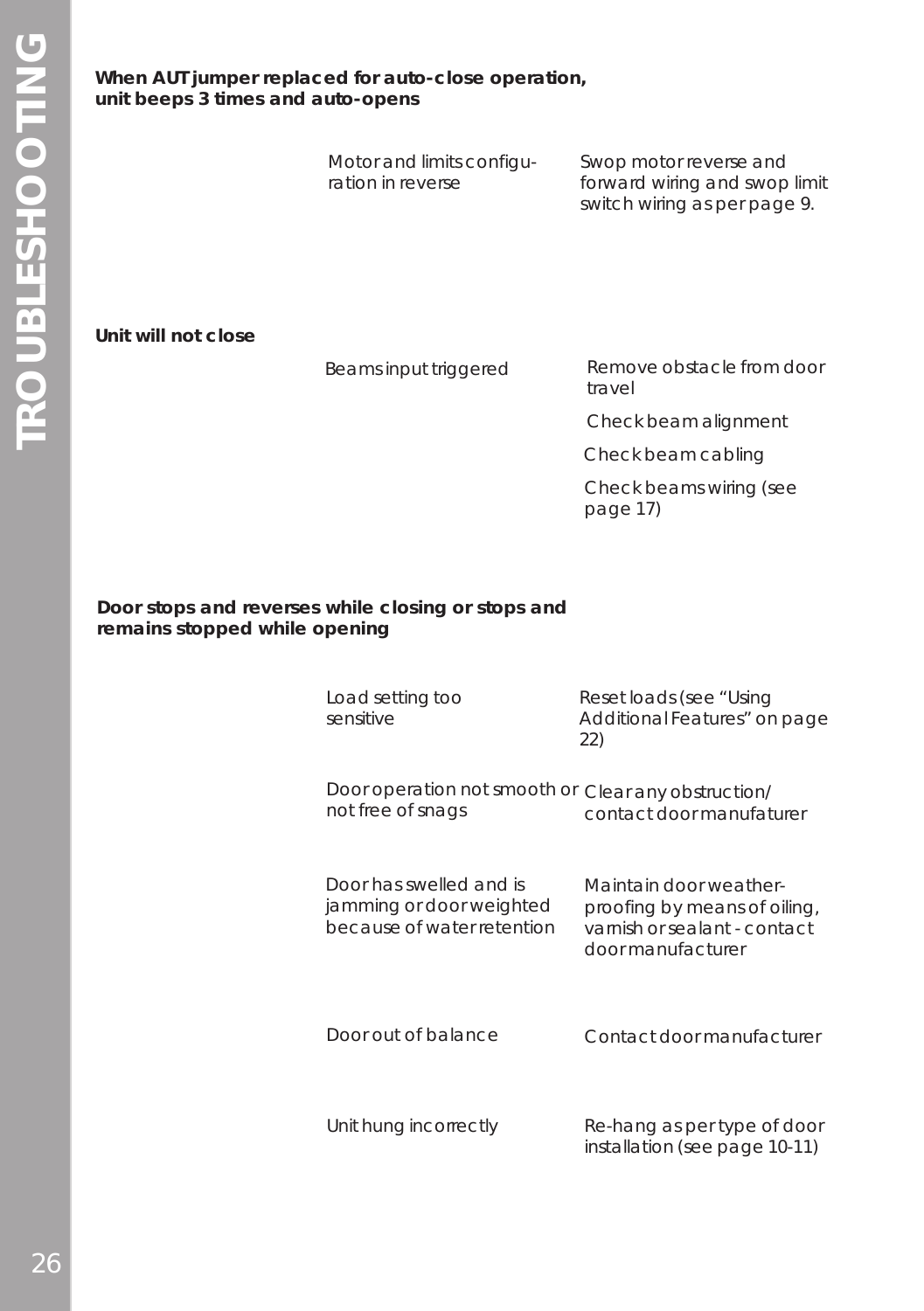### **When AUT jumper replaced for auto-close operation, unit beeps 3 times and auto-opens**

Motor and limits configuration in reverse

Swop motor reverse and forward wiring and swop limit switch wiring as per page 9.

**Unit will not close**

Beams input triggered Remove obstacle from door travel

Check beam alignment

Check beam cabling

Check beams wiring (see page 17)

### **Door stops and reverses while closing or stops and remains stopped while opening**

| Load setting too<br>sensitive                                                     | Reset loads (see "Using<br>Additional Features" on page<br>22)                                              |
|-----------------------------------------------------------------------------------|-------------------------------------------------------------------------------------------------------------|
| Door operation not smooth or<br>not free of snags                                 | Clear any obstruction/<br>contact door manufaturer                                                          |
| Door has swelled and is<br>jamming or door weighted<br>because of water retention | Maintain door weather-<br>proofing by means of oiling,<br>varnish or sealant - contact<br>door manufacturer |
| Door out of balance                                                               | Contact door manufacturer                                                                                   |
| Unit hung incorrectly                                                             | Re-hang as per type of door<br>installation (see page 10-11)                                                |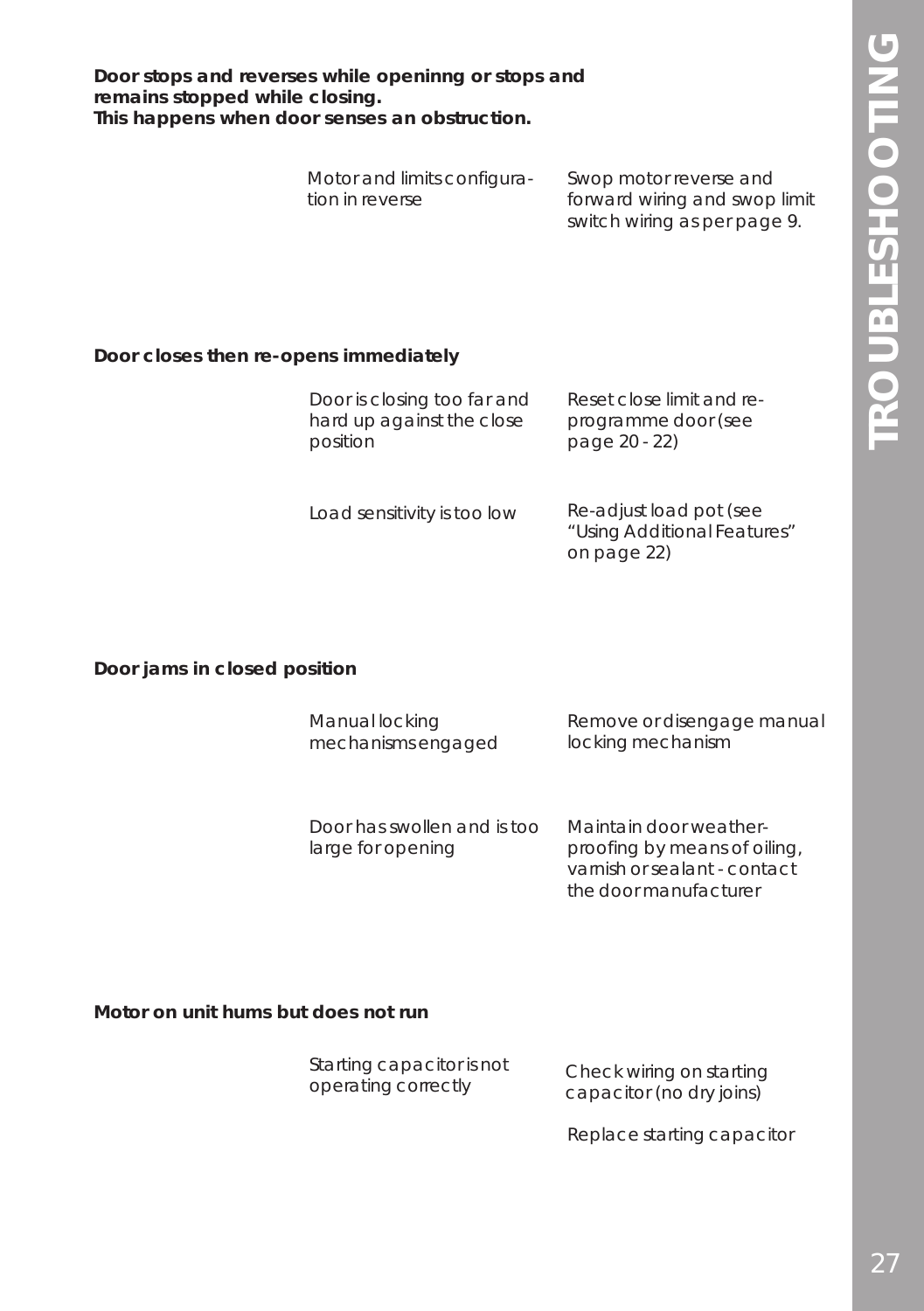**Door stops and reverses while openinng or stops and remains stopped while closing. This happens when door senses an obstruction.**

| Motor and limits configura- | Swop motor reverse and        |
|-----------------------------|-------------------------------|
| tion in reverse             | forward wiring and swop limit |
|                             | switch wiring as per page 9.  |

#### **Door closes then re-opens immediately**

| Door is closing too far and                            | Reset close limit and re- |
|--------------------------------------------------------|---------------------------|
| hard up against the close<br>page 20 - 22)<br>position | programme door (see       |

Load sensitivity is too low

Re-adjust load pot (see "Using Additional Features" on page 22)

**Door jams in closed position**

| Manual locking     | Remove or disengage manual |
|--------------------|----------------------------|
| mechanisms engaged | locking mechanism          |

| Door has swollen and is too | Maintain door weather-       |
|-----------------------------|------------------------------|
| large for opening           | proofing by means of oiling, |
|                             | varnish or sealant - contact |

#### **Motor on unit hums but does not run**

| Starting capacitor is not | Check wiring on starting |
|---------------------------|--------------------------|
| operating correctly       | capacitor (no dry joins) |

Replace starting capacitor

the door manufacturer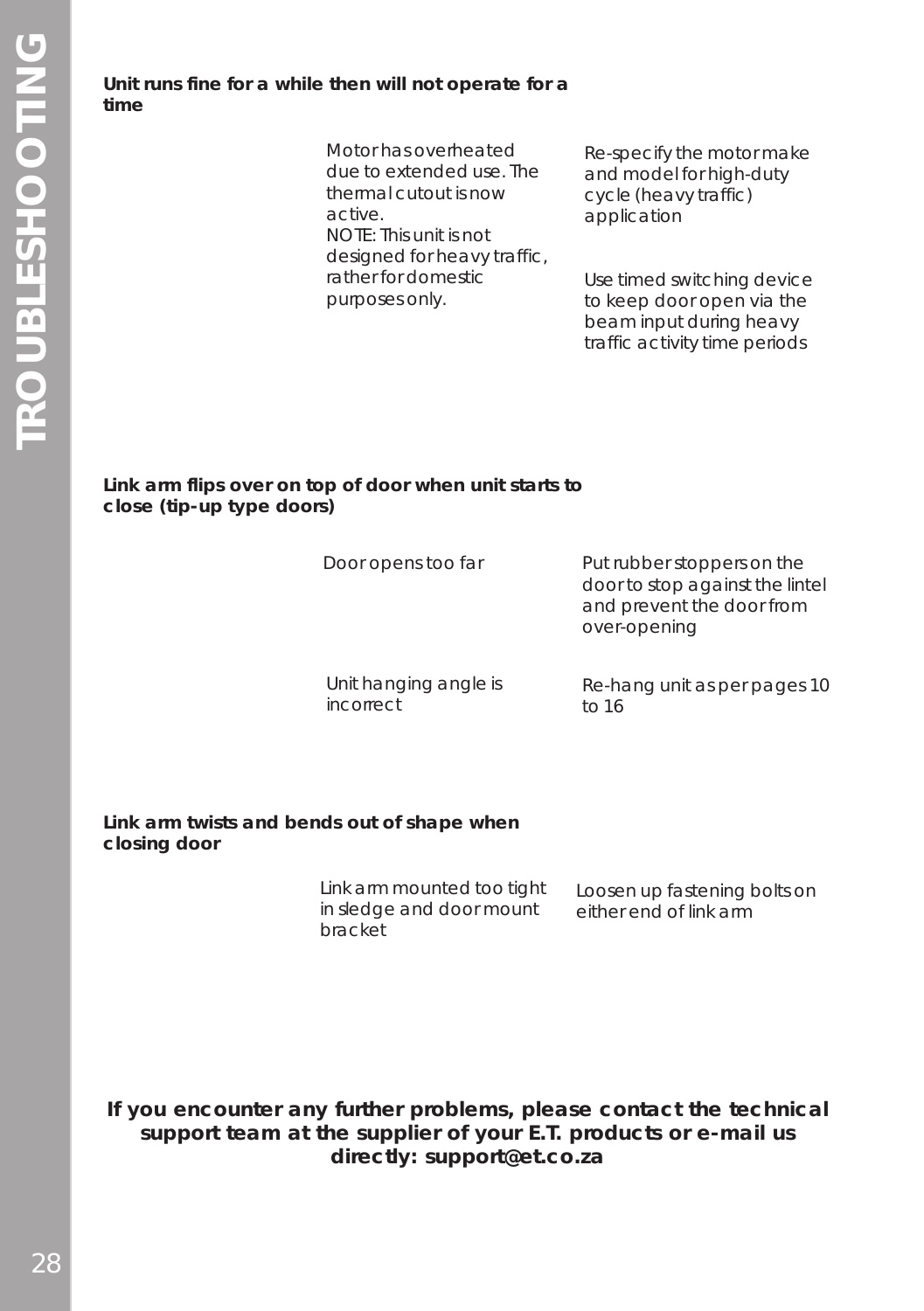**Unit runs fine for a while then will not operate for a time**

> Motor has overheated due to extended use. The thermal cutout is now active. NOTE: This unit is not designed for heavy traffic, rather for domestic purposes only.

Re-specify the motor make and model for high-duty cycle (heavy traffic) application

Use timed switching device to keep door open via the beam input during heavy traffic activity time periods

#### **Link arm flips over on top of door when unit starts to close (tip-up type doors)**

| Door opens too far    | Put rubber stoppers on the<br>door to stop against the lintel<br>and prevent the door from<br>over-opening |
|-----------------------|------------------------------------------------------------------------------------------------------------|
| Unit hanging angle is | Re-hang unit as per pages 10                                                                               |
| incorrect             | to $16$                                                                                                    |

**Link arm twists and bends out of shape when closing door**

> Link arm mounted too tight in sledge and door mount bracket Loosen up fastening bolts on either end of link arm

**If you encounter any further problems, please contact the technical support team at the supplier of your E.T. products or e-mail us directly: support@et.co.za**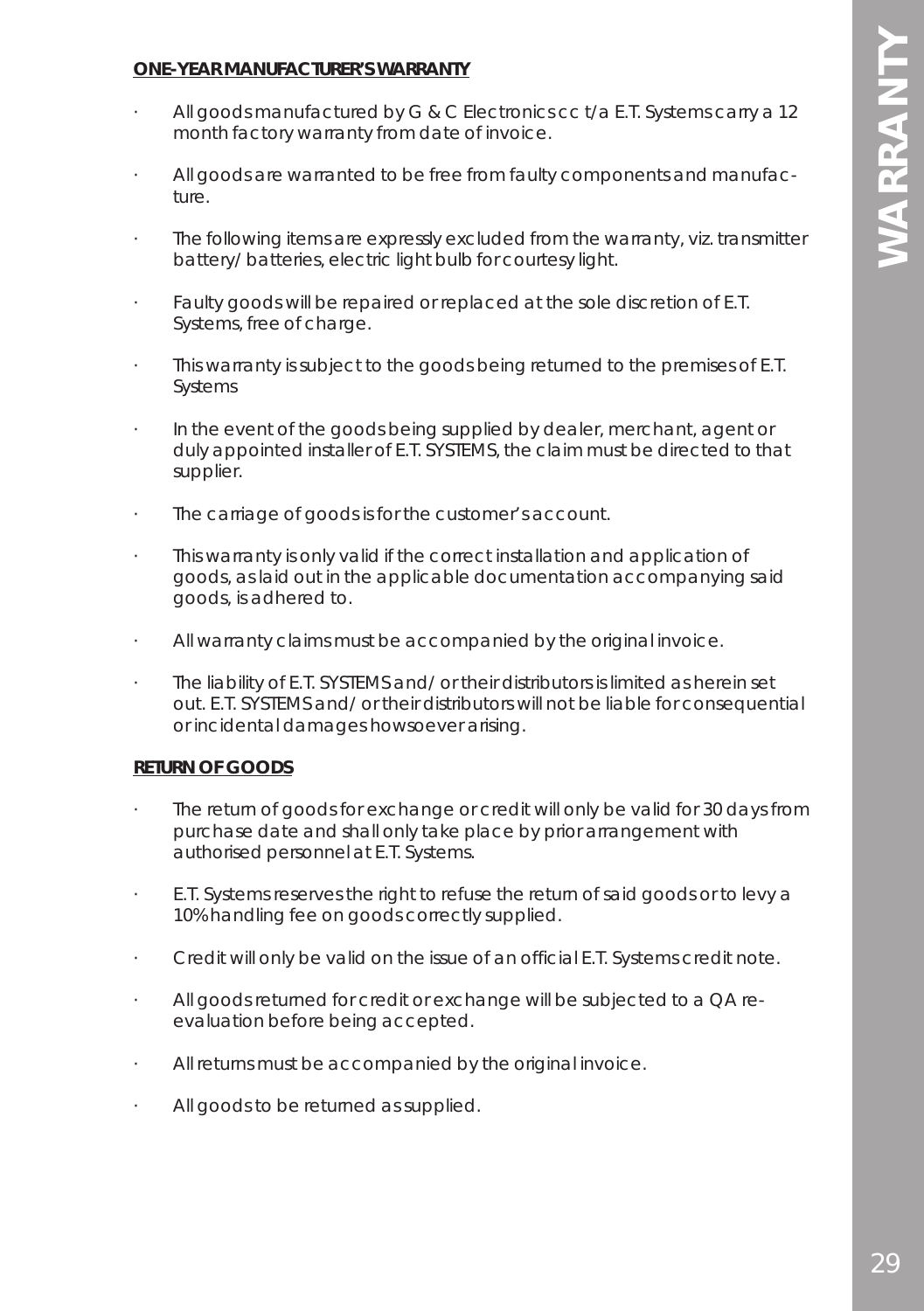### **ONE-YEAR MANUFACTURER'S WARRANTY**

- All goods manufactured by G & C Electronics cc t/a E.T. Systems carry a 12 month factory warranty from date of invoice.
- · All goods are warranted to be free from faulty components and manufacture.
- The following items are expressly excluded from the warranty, viz. transmitter battery/ batteries, electric light bulb for courtesy light.
- Faulty goods will be repaired or replaced at the sole discretion of E.T. Systems, free of charge.
- This warranty is subject to the goods being returned to the premises of E.T. Systems
- · In the event of the goods being supplied by dealer, merchant, agent or duly appointed installer of E.T. SYSTEMS, the claim must be directed to that supplier.
- · The carriage of goods is for the customer's account.
- This warranty is only valid if the correct installation and application of goods, as laid out in the applicable documentation accompanying said goods, is adhered to.
- · All warranty claims must be accompanied by the original invoice.
- · The liability of E.T. SYSTEMS and/ or their distributors is limited as herein set out. E.T. SYSTEMS and/ or their distributors will not be liable for consequential or incidental damages howsoever arising.

### **RETURN OF GOODS**

- The return of goods for exchange or credit will only be valid for 30 days from purchase date and shall only take place by prior arrangement with authorised personnel at E.T. Systems.
- · E.T. Systems reserves the right to refuse the return of said goods or to levy a 10% handling fee on goods correctly supplied.
- · Credit will only be valid on the issue of an official E.T. Systems credit note.
- All goods returned for credit or exchange will be subjected to a QA reevaluation before being accepted.
- · All returns must be accompanied by the original invoice.
- All goods to be returned as supplied.